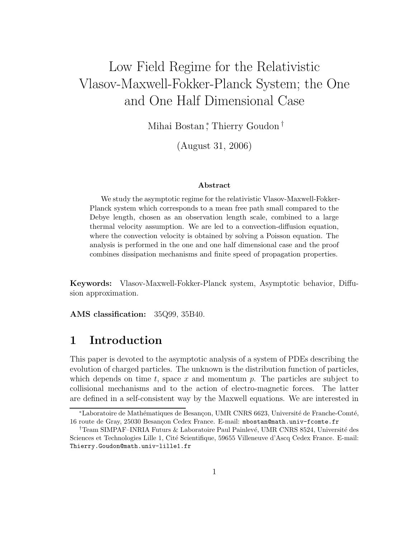# Low Field Regime for the Relativistic Vlasov-Maxwell-Fokker-Planck System; the One and One Half Dimensional Case

Mihai Bostan,\* Thierry Goudon†

(August 31, 2006)

### Abstract

We study the asymptotic regime for the relativistic Vlasov-Maxwell-Fokker-Planck system which corresponds to a mean free path small compared to the Debye length, chosen as an observation length scale, combined to a large thermal velocity assumption. We are led to a convection-diffusion equation, where the convection velocity is obtained by solving a Poisson equation. The analysis is performed in the one and one half dimensional case and the proof combines dissipation mechanisms and finite speed of propagation properties.

Keywords: Vlasov-Maxwell-Fokker-Planck system, Asymptotic behavior, Diffusion approximation.

AMS classification: 35Q99, 35B40.

# 1 Introduction

This paper is devoted to the asymptotic analysis of a system of PDEs describing the evolution of charged particles. The unknown is the distribution function of particles, which depends on time t, space x and momentum p. The particles are subject to collisional mechanisms and to the action of electro-magnetic forces. The latter are defined in a self-consistent way by the Maxwell equations. We are interested in

<sup>\*</sup>Laboratoire de Mathématiques de Besançon, UMR CNRS 6623, Université de Franche-Comté, 16 route de Gray, 25030 Besançon Cedex France. E-mail: mbostan@math.univ-fcomte.fr

<sup>&</sup>lt;sup>†</sup>Team SIMPAF–INRIA Futurs & Laboratoire Paul Painlevé, UMR CNRS 8524, Université des Sciences et Technologies Lille 1, Cité Scientifique, 59655 Villeneuve d'Ascq Cedex France. E-mail: Thierry.Goudon@math.univ-lille1.fr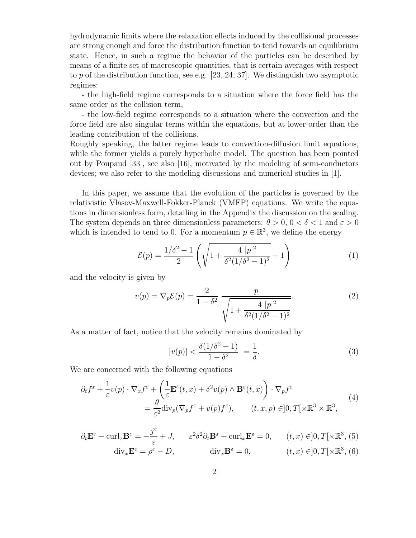hydrodynamic limits where the relaxation effects induced by the collisional processes are strong enough and force the distribution function to tend towards an equilibrium state. Hence, in such a regime the behavior of the particles can be described by means of a finite set of macroscopic quantities, that is certain averages with respect to p of the distribution function, see e.g.  $[23, 24, 37]$ . We distinguish two asymptotic regimes:

- the high-field regime corresponds to a situation where the force field has the same order as the collision term,

- the low-field regime corresponds to a situation where the convection and the force field are also singular terms within the equations, but at lower order than the leading contribution of the collisions.

Roughly speaking, the latter regime leads to convection-diffusion limit equations, while the former yields a purely hyperbolic model. The question has been pointed out by Poupaud [33], see also [16], motivated by the modeling of semi-conductors devices; we also refer to the modeling discussions and numerical studies in [1].

In this paper, we assume that the evolution of the particles is governed by the relativistic Vlasov-Maxwell-Fokker-Planck (VMFP) equations. We write the equations in dimensionless form, detailing in the Appendix the discussion on the scaling. The system depends on three dimensionless parameters:  $\theta > 0$ ,  $0 < \delta < 1$  and  $\varepsilon > 0$ which is intended to tend to 0. For a momentum  $p \in \mathbb{R}^3$ , we define the energy

$$
\mathcal{E}(p) = \frac{1/\delta^2 - 1}{2} \left( \sqrt{1 + \frac{4 |p|^2}{\delta^2 (1/\delta^2 - 1)^2}} - 1 \right) \tag{1}
$$

and the velocity is given by

$$
v(p) = \nabla_p \mathcal{E}(p) = \frac{2}{1 - \delta^2} \frac{p}{\sqrt{1 + \frac{4 |p|^2}{\delta^2 (1/\delta^2 - 1)^2}}}.
$$
 (2)

As a matter of fact, notice that the velocity remains dominated by

$$
|v(p)| < \frac{\delta(1/\delta^2 - 1)}{1 - \delta^2} = \frac{1}{\delta}.\tag{3}
$$

We are concerned with the following equations

$$
\partial_t f^\varepsilon + \frac{1}{\varepsilon} v(p) \cdot \nabla_x f^\varepsilon + \left( \frac{1}{\varepsilon} \mathbf{E}^\varepsilon(t, x) + \delta^2 v(p) \wedge \mathbf{B}^\varepsilon(t, x) \right) \cdot \nabla_p f^\varepsilon
$$
\n
$$
= \frac{\theta}{\varepsilon^2} \text{div}_p(\nabla_p f^\varepsilon + v(p) f^\varepsilon), \qquad (t, x, p) \in ]0, T[ \times \mathbb{R}^3 \times \mathbb{R}^3, \tag{4}
$$

$$
\partial_t \mathbf{E}^{\varepsilon} - \operatorname{curl}_x \mathbf{B}^{\varepsilon} = -\frac{j^{\varepsilon}}{\varepsilon} + J, \qquad \varepsilon^2 \delta^2 \partial_t \mathbf{B}^{\varepsilon} + \operatorname{curl}_x \mathbf{E}^{\varepsilon} = 0, \qquad (t, x) \in ]0, T[ \times \mathbb{R}^3, (5) \n\operatorname{div}_x \mathbf{E}^{\varepsilon} = \rho^{\varepsilon} - D, \qquad \operatorname{div}_x \mathbf{B}^{\varepsilon} = 0, \qquad (t, x) \in ]0, T[ \times \mathbb{R}^3, (6)
$$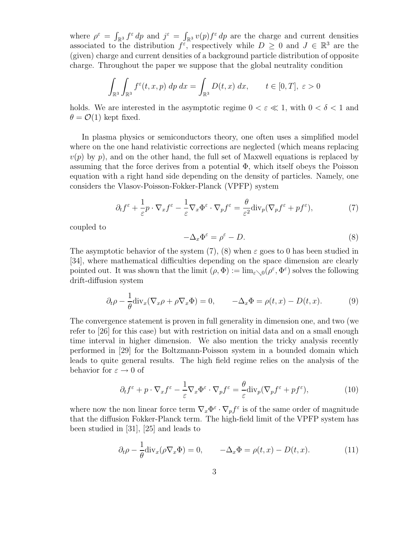where  $\rho^{\varepsilon} = \int_{\mathbb{R}^3} f^{\varepsilon} dp$  and  $j^{\varepsilon} = \int_{\mathbb{R}^3} v(p) f^{\varepsilon} dp$  are the charge and current densities associated to the distribution  $f^{\varepsilon}$ , respectively while  $D \geq 0$  and  $J \in \mathbb{R}^3$  are the (given) charge and current densities of a background particle distribution of opposite charge. Throughout the paper we suppose that the global neutrality condition

$$
\int_{\mathbb{R}^3} \int_{\mathbb{R}^3} f^{\varepsilon}(t, x, p) \, dp \, dx = \int_{\mathbb{R}^3} D(t, x) \, dx, \qquad t \in [0, T], \, \varepsilon > 0
$$

holds. We are interested in the asymptotic regime  $0 < \varepsilon \ll 1$ , with  $0 < \delta < 1$  and  $\theta = \mathcal{O}(1)$  kept fixed.

In plasma physics or semiconductors theory, one often uses a simplified model where on the one hand relativistic corrections are neglected (which means replacing  $v(p)$  by p), and on the other hand, the full set of Maxwell equations is replaced by assuming that the force derives from a potential  $\Phi$ , which itself obeys the Poisson equation with a right hand side depending on the density of particles. Namely, one considers the Vlasov-Poisson-Fokker-Planck (VPFP) system

$$
\partial_t f^\varepsilon + \frac{1}{\varepsilon} p \cdot \nabla_x f^\varepsilon - \frac{1}{\varepsilon} \nabla_x \Phi^\varepsilon \cdot \nabla_p f^\varepsilon = \frac{\theta}{\varepsilon^2} \text{div}_p (\nabla_p f^\varepsilon + p f^\varepsilon),\tag{7}
$$

coupled to

$$
-\Delta_x \Phi^\varepsilon = \rho^\varepsilon - D. \tag{8}
$$

The asymptotic behavior of the system  $(7)$ ,  $(8)$  when  $\varepsilon$  goes to 0 has been studied in [34], where mathematical difficulties depending on the space dimension are clearly pointed out. It was shown that the limit  $(\rho, \Phi) := \lim_{\varepsilon \searrow 0} (\rho^{\varepsilon}, \Phi^{\varepsilon})$  solves the following drift-diffusion system

$$
\partial_t \rho - \frac{1}{\theta} \text{div}_x (\nabla_x \rho + \rho \nabla_x \Phi) = 0, \qquad -\Delta_x \Phi = \rho(t, x) - D(t, x). \tag{9}
$$

The convergence statement is proven in full generality in dimension one, and two (we refer to [26] for this case) but with restriction on initial data and on a small enough time interval in higher dimension. We also mention the tricky analysis recently performed in [29] for the Boltzmann-Poisson system in a bounded domain which leads to quite general results. The high field regime relies on the analysis of the behavior for  $\varepsilon \to 0$  of

$$
\partial_t f^{\varepsilon} + p \cdot \nabla_x f^{\varepsilon} - \frac{1}{\varepsilon} \nabla_x \Phi^{\varepsilon} \cdot \nabla_p f^{\varepsilon} = \frac{\theta}{\varepsilon} \text{div}_p (\nabla_p f^{\varepsilon} + pf^{\varepsilon}), \tag{10}
$$

where now the non linear force term  $\nabla_x \Phi^\varepsilon \cdot \nabla_p f^\varepsilon$  is of the same order of magnitude that the diffusion Fokker-Planck term. The high-field limit of the VPFP system has been studied in [31], [25] and leads to

$$
\partial_t \rho - \frac{1}{\theta} \text{div}_x (\rho \nabla_x \Phi) = 0, \qquad -\Delta_x \Phi = \rho(t, x) - D(t, x). \tag{11}
$$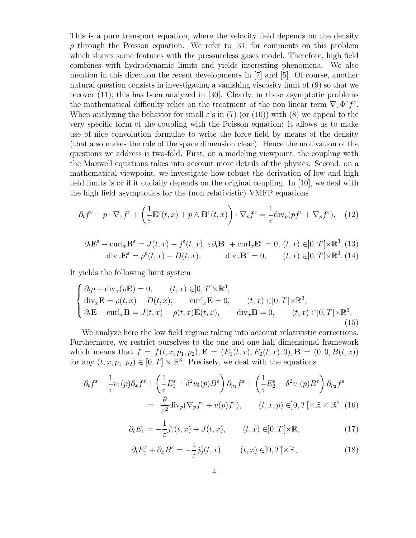This is a pure transport equation, where the velocity field depends on the density  $\rho$  through the Poisson equation. We refer to [31] for comments on this problem which shares some features with the pressureless gases model. Therefore, high field combines with hydrodynamic limits and yields interesting phenomena. We also mention in this direction the recent developments in [7] and [5]. Of course, another natural question consists in investigating a vanishing viscosity limit of (9) so that we recover (11); this has been analyzed in [30]. Clearly, in these asymptotic problems the mathematical difficulty relies on the treatment of the non linear term  $\nabla_x \Phi^{\varepsilon} f^{\varepsilon}$ . When analyzing the behavior for small  $\varepsilon$ 's in (7) (or (10)) with (8) we appeal to the very specific form of the coupling with the Poisson equation: it allows us to make use of nice convolution formulae to write the force field by means of the density (that also makes the role of the space dimension clear). Hence the motivation of the questions we address is two-fold. First, on a modeling viewpoint, the coupling with the Maxwell equations takes into account more details of the physics. Second, on a mathematical viewpoint, we investigate how robust the derivation of low and high field limits is or if it cucially depends on the original coupling. In [10], we deal with the high field asymptotics for the (non relativistic) VMFP equations

$$
\partial_t f^\varepsilon + p \cdot \nabla_x f^\varepsilon + \left(\frac{1}{\varepsilon} \mathbf{E}^\varepsilon(t, x) + p \wedge \mathbf{B}^\varepsilon(t, x)\right) \cdot \nabla_p f^\varepsilon = \frac{1}{\varepsilon} \text{div}_p (p f^\varepsilon + \nabla_p f^\varepsilon), \quad (12)
$$

$$
\partial_t \mathbf{E}^{\varepsilon} - \operatorname{curl}_x \mathbf{B}^{\varepsilon} = J(t, x) - j^{\varepsilon}(t, x), \ \varepsilon \partial_t \mathbf{B}^{\varepsilon} + \operatorname{curl}_x \mathbf{E}^{\varepsilon} = 0, \ (t, x) \in ]0, T[ \times \mathbb{R}^3, (13)
$$
  
div<sub>x</sub> $\mathbf{E}^{\varepsilon} = \rho^{\varepsilon}(t, x) - D(t, x),$  div<sub>x</sub> $\mathbf{B}^{\varepsilon} = 0$ ,  $(t, x) \in ]0, T[ \times \mathbb{R}^3, (14)$ 

It yields the following limit system

$$
\begin{cases}\n\partial_t \rho + \text{div}_x(\rho \mathbf{E}) = 0, & (t, x) \in ]0, T[ \times \mathbb{R}^3, \\
\text{div}_x \mathbf{E} = \rho(t, x) - D(t, x), & \text{curl}_x \mathbf{E} = 0, & (t, x) \in ]0, T[ \times \mathbb{R}^3, \\
\partial_t \mathbf{E} - \text{curl}_x \mathbf{B} = J(t, x) - \rho(t, x) \mathbf{E}(t, x), & \text{div}_x \mathbf{B} = 0, & (t, x) \in ]0, T[ \times \mathbb{R}^3. \\
\end{cases}
$$
\n(15)

We analyze here the low field regime taking into account relativistic corrections. Furthermore, we restrict ourselves to the one and one half dimensional framework which means that  $f = f(t, x, p_1, p_2), \mathbf{E} = (E_1(t, x), E_2(t, x), 0), \mathbf{B} = (0, 0, B(t, x))$ for any  $(t, x, p_1, p_2) \in [0, T] \times \mathbb{R}^3$ . Precisely, we deal with the equations

$$
\partial_t f^{\varepsilon} + \frac{1}{\varepsilon} v_1(p) \partial_x f^{\varepsilon} + \left( \frac{1}{\varepsilon} E_1^{\varepsilon} + \delta^2 v_2(p) B^{\varepsilon} \right) \partial_{p_1} f^{\varepsilon} + \left( \frac{1}{\varepsilon} E_2^{\varepsilon} - \delta^2 v_1(p) B^{\varepsilon} \right) \partial_{p_2} f^{\varepsilon}
$$
  
= 
$$
\frac{\theta}{\varepsilon^2} \text{div}_p (\nabla_p f^{\varepsilon} + v(p) f^{\varepsilon}), \qquad (t, x, p) \in ]0, T[ \times \mathbb{R} \times \mathbb{R}^2, (16)
$$

$$
\partial_t E_1^{\varepsilon} = -\frac{1}{\varepsilon} j_1^{\varepsilon}(t, x) + J(t, x), \qquad (t, x) \in ]0, T[ \times \mathbb{R}, \tag{17}
$$

$$
\partial_t E_2^{\varepsilon} + \partial_x B^{\varepsilon} = -\frac{1}{\varepsilon} j_2^{\varepsilon}(t, x), \qquad (t, x) \in ]0, T[ \times \mathbb{R}, \tag{18}
$$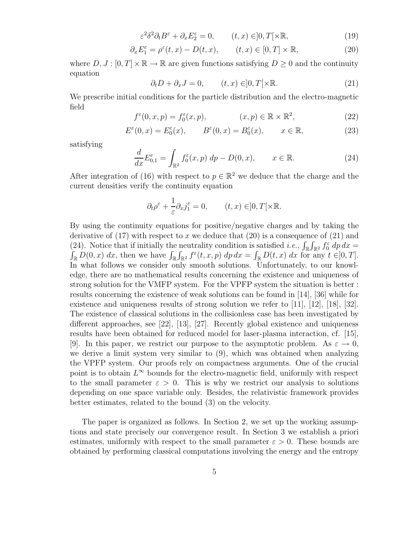$$
\varepsilon^2 \delta^2 \partial_t B^\varepsilon + \partial_x E_2^\varepsilon = 0, \qquad (t, x) \in ]0, T[ \times \mathbb{R}, \tag{19}
$$

$$
\partial_x E_1^{\varepsilon} = \rho^{\varepsilon}(t, x) - D(t, x), \qquad (t, x) \in [0, T] \times \mathbb{R}, \tag{20}
$$

where  $D, J : [0, T] \times \mathbb{R} \to \mathbb{R}$  are given functions satisfying  $D \geq 0$  and the continuity equation

$$
\partial_t D + \partial_x J = 0, \qquad (t, x) \in ]0, T[ \times \mathbb{R}.
$$
 (21)

We prescribe initial conditions for the particle distribution and the electro-magnetic field

$$
f^{\varepsilon}(0, x, p) = f_0^{\varepsilon}(x, p), \qquad (x, p) \in \mathbb{R} \times \mathbb{R}^2, \qquad (22)
$$

$$
E^{\varepsilon}(0, x) = E^{\varepsilon}_0(x), \qquad B^{\varepsilon}(0, x) = B^{\varepsilon}_0(x), \qquad x \in \mathbb{R}, \tag{23}
$$

satisfying

$$
\frac{d}{dx} E_{0,1}^{\varepsilon} = \int_{\mathbb{R}^2} f_0^{\varepsilon}(x, p) \, dp - D(0, x), \qquad x \in \mathbb{R}.
$$
 (24)

After integration of (16) with respect to  $p \in \mathbb{R}^2$  we deduce that the charge and the current densities verify the continuity equation

$$
\partial_t \rho^{\varepsilon} + \frac{1}{\varepsilon} \partial_x j_1^{\varepsilon} = 0, \qquad (t, x) \in ]0, T[ \times \mathbb{R}.
$$

By using the continuity equations for positive/negative charges and by taking the derivative of  $(17)$  with respect to x we deduce that  $(20)$  is a consequence of  $(21)$  and (24). Notice that if initially the neutrality condition is satisfied *i.e.*,  $\int_{\mathbb{R}} \int_{\mathbb{R}^2} f_0^{\varepsilon} dp dx = \int_{\mathbb{R}} D(0, x) dx$ , then we have  $\int_{\mathbb{R}} \int_{\mathbb{R}^2} f^{\varepsilon}(t, x, p) dp dx = \int_{\mathbb{R}} D(t, x) dx$  for any  $t \in ]0, T]$ . In what follows we consider only smooth solutions. Unfortunately, to our knowledge, there are no mathematical results concerning the existence and uniqueness of strong solution for the VMFP system. For the VPFP system the situation is better : results concerning the existence of weak solutions can be found in [14], [36] while for existence and uniqueness results of strong solution we refer to [11], [12], [18], [32]. The existence of classical solutions in the collisionless case has been investigated by different approaches, see [22], [13], [27]. Recently global existence and uniqueness results have been obtained for reduced model for laser-plasma interaction, cf. [15], [9]. In this paper, we restrict our purpose to the asymptotic problem. As  $\varepsilon \to 0$ , we derive a limit system very similar to (9), which was obtained when analyzing the VPFP system. Our proofs rely on compactness arguments. One of the crucial point is to obtain  $L^{\infty}$  bounds for the electro-magnetic field, uniformly with respect to the small parameter  $\varepsilon > 0$ . This is why we restrict our analysis to solutions depending on one space variable only. Besides, the relativistic framework provides better estimates, related to the bound (3) on the velocity.

The paper is organized as follows. In Section 2, we set up the working assumptions and state precisely our convergence result. In Section 3 we establish a priori estimates, uniformly with respect to the small parameter  $\varepsilon > 0$ . These bounds are obtained by performing classical computations involving the energy and the entropy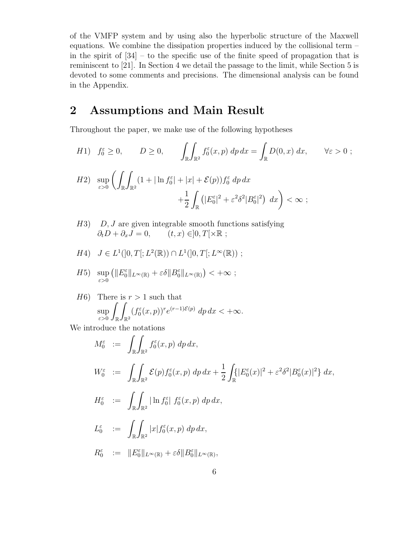of the VMFP system and by using also the hyperbolic structure of the Maxwell equations. We combine the dissipation properties induced by the collisional term – in the spirit of [34] – to the specific use of the finite speed of propagation that is reminiscent to [21]. In Section 4 we detail the passage to the limit, while Section 5 is devoted to some comments and precisions. The dimensional analysis can be found in the Appendix.

# 2 Assumptions and Main Result

Throughout the paper, we make use of the following hypotheses

$$
H1) \quad f_0^{\varepsilon} \ge 0, \qquad D \ge 0, \qquad \int_{\mathbb{R}} \int_{\mathbb{R}^2} f_0^{\varepsilon}(x, p) \, dp \, dx = \int_{\mathbb{R}} D(0, x) \, dx, \qquad \forall \varepsilon > 0 ;
$$
\n
$$
H2) \quad \sup_{\varepsilon > 0} \left( \int_{\mathbb{R}} \int_{\mathbb{R}^2} (1 + |\ln f_0^{\varepsilon}| + |x| + \mathcal{E}(p)) f_0^{\varepsilon} \, dp \, dx + \frac{1}{2} \int_{\mathbb{R}} \left( |E_0^{\varepsilon}|^2 + \varepsilon^2 \delta^2 |B_0^{\varepsilon}|^2 \right) \, dx \right) < \infty ;
$$

- $H3$ ) D, J are given integrable smooth functions satisfying  $\partial_t D + \partial_x J = 0, \qquad (t, x) \in ]0, T[ \times \mathbb{R} ;$
- $H4)$   $J \in L^1([0, T[; L^2(\mathbb{R})) \cap L^1([0, T[; L^{\infty}(\mathbb{R}))$ ;

$$
H5) \ \ \sup_{\varepsilon>0} \left( \|E_0^{\varepsilon}\|_{L^{\infty}(\mathbb{R})} + \varepsilon \delta \|B_0^{\varepsilon}\|_{L^{\infty}(\mathbb{R})} \right) < +\infty ;
$$

 $H6$ ) There is  $r > 1$  such that sup ε>0 Z R Z  $\mathbb{R}^2$  $(f_0^{\varepsilon}(x,p))^r e^{(r-1)\mathcal{E}(p)} dp dx < +\infty.$ 

We introduce the notations

$$
M_0^{\varepsilon} := \int_{\mathbb{R}} \int_{\mathbb{R}^2} f_0^{\varepsilon}(x, p) dp dx,
$$
  
\n
$$
W_0^{\varepsilon} := \int_{\mathbb{R}} \int_{\mathbb{R}^2} \mathcal{E}(p) f_0^{\varepsilon}(x, p) dp dx + \frac{1}{2} \int_{\mathbb{R}} \{ |E_0^{\varepsilon}(x)|^2 + \varepsilon^2 \delta^2 |B_0^{\varepsilon}(x)|^2 \} dx,
$$
  
\n
$$
H_0^{\varepsilon} := \int_{\mathbb{R}} \int_{\mathbb{R}^2} |\ln f_0^{\varepsilon}| f_0^{\varepsilon}(x, p) dp dx,
$$
  
\n
$$
L_0^{\varepsilon} := \int_{\mathbb{R}} \int_{\mathbb{R}^2} |x| f_0^{\varepsilon}(x, p) dp dx,
$$
  
\n
$$
R_0^{\varepsilon} := \|E_0^{\varepsilon}\|_{L^{\infty}(\mathbb{R})} + \varepsilon \delta \|B_0^{\varepsilon}\|_{L^{\infty}(\mathbb{R})},
$$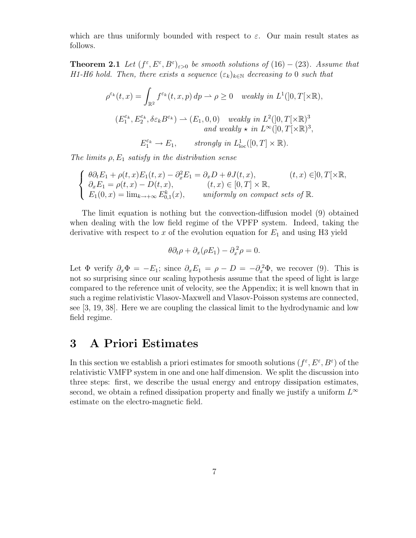which are thus uniformly bounded with respect to  $\varepsilon$ . Our main result states as follows.

**Theorem 2.1** Let  $(f^{\varepsilon}, E^{\varepsilon}, B^{\varepsilon})_{\varepsilon>0}$  be smooth solutions of (16) – (23). Assume that H1-H6 hold. Then, there exists a sequence  $(\varepsilon_k)_{k\in\mathbb{N}}$  decreasing to 0 such that

$$
\rho^{\varepsilon_k}(t,x) = \int_{\mathbb{R}^2} f^{\varepsilon_k}(t,x,p) \, dp \to \rho \ge 0 \quad \text{weakly in } L^1([0,T[\times \mathbb{R}),
$$
  

$$
(E_1^{\varepsilon_k}, E_2^{\varepsilon_k}, \delta \varepsilon_k B^{\varepsilon_k}) \to (E_1, 0, 0) \quad \text{weakly in } L^2([0,T[\times \mathbb{R})^3] \quad \text{and weakly } \star \text{ in } L^{\infty}([0,T[\times \mathbb{R})^3],
$$
  

$$
E_1^{\varepsilon_k} \to E_1, \qquad \text{strongly in } L^1_{\text{loc}}([0,T] \times \mathbb{R}).
$$

The limits  $\rho$ ,  $E_1$  satisfy in the distribution sense

$$
\begin{cases}\n\theta \partial_t E_1 + \rho(t, x) E_1(t, x) - \partial_x^2 E_1 = \partial_x D + \theta J(t, x), & (t, x) \in ]0, T[ \times \mathbb{R}, \\
\partial_x E_1 = \rho(t, x) - D(t, x), & (t, x) \in [0, T] \times \mathbb{R}, \\
E_1(0, x) = \lim_{k \to +\infty} E_{0,1}^k(x), & \text{uniformly on compact sets of } \mathbb{R}.\n\end{cases}
$$

The limit equation is nothing but the convection-diffusion model (9) obtained when dealing with the low field regime of the VPFP system. Indeed, taking the derivative with respect to x of the evolution equation for  $E_1$  and using H3 yield

$$
\theta \partial_t \rho + \partial_x (\rho E_1) - \partial_x^2 \rho = 0.
$$

Let  $\Phi$  verify  $\partial_x \Phi = -E_1$ ; since  $\partial_x E_1 = \rho - D = -\partial_x^2 \Phi$ , we recover (9). This is not so surprising since our scaling hypothesis assume that the speed of light is large compared to the reference unit of velocity, see the Appendix; it is well known that in such a regime relativistic Vlasov-Maxwell and Vlasov-Poisson systems are connected, see [3, 19, 38]. Here we are coupling the classical limit to the hydrodynamic and low field regime.

### 3 A Priori Estimates

In this section we establish a priori estimates for smooth solutions  $(f^{\varepsilon}, E^{\varepsilon}, B^{\varepsilon})$  of the relativistic VMFP system in one and one half dimension. We split the discussion into three steps: first, we describe the usual energy and entropy dissipation estimates, second, we obtain a refined dissipation property and finally we justify a uniform  $L^{\infty}$ estimate on the electro-magnetic field.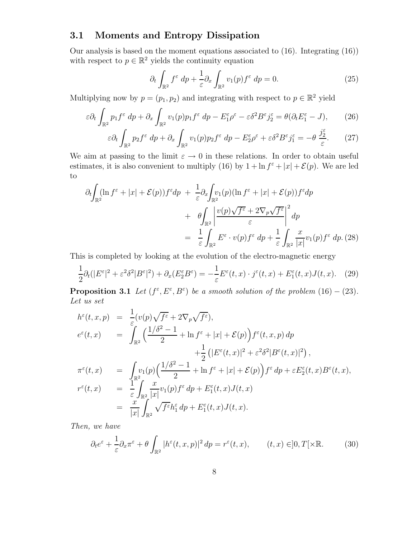### 3.1 Moments and Entropy Dissipation

Our analysis is based on the moment equations associated to (16). Integrating (16)) with respect to  $p \in \mathbb{R}^2$  yields the continuity equation

$$
\partial_t \int_{\mathbb{R}^2} f^\varepsilon \, dp + \frac{1}{\varepsilon} \partial_x \int_{\mathbb{R}^2} v_1(p) f^\varepsilon \, dp = 0. \tag{25}
$$

Multiplying now by  $p = (p_1, p_2)$  and integrating with respect to  $p \in \mathbb{R}^2$  yield

$$
\varepsilon \partial_t \int_{\mathbb{R}^2} p_1 f^{\varepsilon} dp + \partial_x \int_{\mathbb{R}^2} v_1(p) p_1 f^{\varepsilon} dp - E_1^{\varepsilon} \rho^{\varepsilon} - \varepsilon \delta^2 B^{\varepsilon} j_2^{\varepsilon} = \theta (\partial_t E_1^{\varepsilon} - J), \tag{26}
$$

$$
\varepsilon \partial_t \int_{\mathbb{R}^2} p_2 f^{\varepsilon} dp + \partial_x \int_{\mathbb{R}^2} v_1(p) p_2 f^{\varepsilon} dp - E_2^{\varepsilon} \rho^{\varepsilon} + \varepsilon \delta^2 B^{\varepsilon} j_1^{\varepsilon} = -\theta \frac{j_2^{\varepsilon}}{\varepsilon}.
$$
 (27)

We aim at passing to the limit  $\varepsilon \to 0$  in these relations. In order to obtain useful estimates, it is also convenient to multiply (16) by  $1 + \ln f^{\epsilon} + |x| + \mathcal{E}(p)$ . We are led to

$$
\partial_t \int_{\mathbb{R}^2} (\ln f^{\varepsilon} + |x| + \mathcal{E}(p)) f^{\varepsilon} dp + \frac{1}{\varepsilon} \partial_x \int_{\mathbb{R}^2} v_1(p) (\ln f^{\varepsilon} + |x| + \mathcal{E}(p)) f^{\varepsilon} dp \n+ \theta \int_{\mathbb{R}^2} \left| \frac{v(p) \sqrt{f^{\varepsilon}} + 2 \nabla_p \sqrt{f^{\varepsilon}}}{\varepsilon} \right|^2 dp \n= \frac{1}{\varepsilon} \int_{\mathbb{R}^2} E^{\varepsilon} \cdot v(p) f^{\varepsilon} dp + \frac{1}{\varepsilon} \int_{\mathbb{R}^2} \frac{x}{|x|} v_1(p) f^{\varepsilon} dp. (28)
$$

This is completed by looking at the evolution of the electro-magnetic energy

$$
\frac{1}{2}\partial_t(|E^{\varepsilon}|^2 + \varepsilon^2 \delta^2 |B^{\varepsilon}|^2) + \partial_x(E_2^{\varepsilon} B^{\varepsilon}) = -\frac{1}{\varepsilon}E^{\varepsilon}(t,x) \cdot j^{\varepsilon}(t,x) + E_1^{\varepsilon}(t,x)J(t,x). \tag{29}
$$

**Proposition 3.1** Let  $(f^{\varepsilon}, E^{\varepsilon}, B^{\varepsilon})$  be a smooth solution of the problem  $(16) - (23)$ . Let us set

$$
h^{\varepsilon}(t, x, p) = \frac{1}{\varepsilon}(v(p)\sqrt{f^{\varepsilon}} + 2\nabla_{p}\sqrt{f^{\varepsilon}}),
$$
  
\n
$$
e^{\varepsilon}(t, x) = \int_{\mathbb{R}^{2}} \left(\frac{1/\delta^{2} - 1}{2} + \ln f^{\varepsilon} + |x| + \mathcal{E}(p)\right) f^{\varepsilon}(t, x, p) dp + \frac{1}{2} \left(|E^{\varepsilon}(t, x)|^{2} + \varepsilon^{2} \delta^{2}|B^{\varepsilon}(t, x)|^{2}\right),
$$
  
\n
$$
\pi^{\varepsilon}(t, x) = \int_{\mathbb{R}^{2}} v_{1}(p) \left(\frac{1/\delta^{2} - 1}{2} + \ln f^{\varepsilon} + |x| + \mathcal{E}(p)\right) f^{\varepsilon} dp + \varepsilon E_{2}^{\varepsilon}(t, x) B^{\varepsilon}(t, x),
$$
  
\n
$$
r^{\varepsilon}(t, x) = \frac{1}{\varepsilon} \int_{\mathbb{R}^{2}} \frac{x}{|x|} v_{1}(p) f^{\varepsilon} dp + E_{1}^{\varepsilon}(t, x) J(t, x)
$$
  
\n
$$
= \frac{x}{|x|} \int_{\mathbb{R}^{2}} \sqrt{f^{\varepsilon}} h_{1}^{\varepsilon} dp + E_{1}^{\varepsilon}(t, x) J(t, x).
$$

Then, we have

$$
\partial_t e^{\varepsilon} + \frac{1}{\varepsilon} \partial_x \pi^{\varepsilon} + \theta \int_{\mathbb{R}^2} |h^{\varepsilon}(t, x, p)|^2 \, dp = r^{\varepsilon}(t, x), \qquad (t, x) \in ]0, T[ \times \mathbb{R}.
$$
 (30)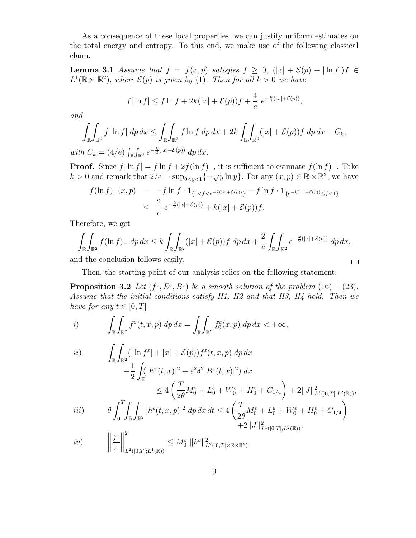As a consequence of these local properties, we can justify uniform estimates on the total energy and entropy. To this end, we make use of the following classical claim.

**Lemma 3.1** Assume that  $f = f(x, p)$  satisfies  $f \ge 0$ ,  $(|x| + \mathcal{E}(p) + |\ln f|) f \in$  $L^1(\mathbb{R} \times \mathbb{R}^2)$ , where  $\mathcal{E}(p)$  is given by (1). Then for all  $k > 0$  we have

$$
f|\ln f| \le f \ln f + 2k(|x| + \mathcal{E}(p))f + \frac{4}{e} e^{-\frac{k}{2}(|x| + \mathcal{E}(p))},
$$

and

$$
\int_{\mathbb{R}} \int_{\mathbb{R}^2} f|\ln f| \, dp \, dx \le \int_{\mathbb{R}} \int_{\mathbb{R}^2} f\ln f \, dp \, dx + 2k \int_{\mathbb{R}} \int_{\mathbb{R}^2} (|x| + \mathcal{E}(p)) f \, dp \, dx + C_k,
$$

with  $C_k = (4/e) \int_{\mathbb{R}} \int_{\mathbb{R}^2} e^{-\frac{k}{2}(|x| + \mathcal{E}(p))} dp dx.$ 

**Proof.** Since  $f| \ln f| = f \ln f + 2f(\ln f)$ , it is sufficient to estimate  $f(\ln f)$ . Take  $k > 0$  and remark that  $2/e = \sup_{0 \le y \le 1} \{-\sqrt{y} \ln y\}$ . For any  $(x, p) \in \mathbb{R} \times \mathbb{R}^2$ , we have

$$
f(\ln f)_{-}(x,p) = -f \ln f \cdot \mathbf{1}_{\{0 < f < e^{-k(|x| + \mathcal{E}(p))}\}} - f \ln f \cdot \mathbf{1}_{\{e^{-k(|x| + \mathcal{E}(p))} \leq f < 1\}} \\
\leq \frac{2}{e} e^{-\frac{k}{2}(|x| + \mathcal{E}(p))} + k(|x| + \mathcal{E}(p))f.
$$

Therefore, we get

$$
\int_{\mathbb{R}} \int_{\mathbb{R}^2} f(\ln f)_- \, dp \, dx \le k \int_{\mathbb{R}} \int_{\mathbb{R}^2} (|x| + \mathcal{E}(p)) f \, dp \, dx + \frac{2}{e} \int_{\mathbb{R}} \int_{\mathbb{R}^2} e^{-\frac{k}{2}(|x| + \mathcal{E}(p))} \, dp \, dx,
$$

 $\Box$ 

and the conclusion follows easily.

Then, the starting point of our analysis relies on the following statement.

**Proposition 3.2** Let  $(f^{\varepsilon}, E^{\varepsilon}, B^{\varepsilon})$  be a smooth solution of the problem  $(16) - (23)$ . Assume that the initial conditions satisfy H1, H2 and that H3, H4 hold. Then we have for any  $t \in [0, T]$ 

i) 
$$
\int_{\mathbb{R}} \int_{\mathbb{R}^2} f^{\varepsilon}(t, x, p) dp dx = \int_{\mathbb{R}} \int_{\mathbb{R}^2} f_0^{\varepsilon}(x, p) dp dx < +\infty,
$$

$$
\begin{aligned}\n\text{(i)} \qquad & \int_{\mathbb{R}} \int_{\mathbb{R}^2} (|\ln f^{\varepsilon}| + |x| + \mathcal{E}(p)) f^{\varepsilon}(t, x, p) \, dp \, dx \\
& \quad + \frac{1}{2} \int_{\mathbb{R}} (|E^{\varepsilon}(t, x)|^2 + \varepsilon^2 \delta^2 |B^{\varepsilon}(t, x)|^2) \, dx \\
& \leq 4 \left( \frac{T}{2\theta} M_0^{\varepsilon} + L_0^{\varepsilon} + W_0^{\varepsilon} + H_0^{\varepsilon} + C_{1/4} \right) + 2 \|J\|_{L^1([0, T]; L^2(\mathbb{R}))}^2, \\
\text{(ii)} \qquad & \theta \int_0^T \int_{\mathbb{R}} \int_{\mathbb{R}^2} |h^{\varepsilon}(t, x, p)|^2 \, dp \, dx \, dt \leq 4 \left( \frac{T}{2\theta} M_0^{\varepsilon} + L_0^{\varepsilon} + W_0^{\varepsilon} + H_0^{\varepsilon} + C_{1/4} \right) \\
& \quad + 2 \|J\|_{L^1([0, T]; L^2(\mathbb{R}))}^2,\n\end{aligned}
$$

$$
iv) \qquad \left\|\frac{j^{\varepsilon}}{\varepsilon}\right\|_{L^2([0,T[;L^1(\mathbb{R}))}^2 \leq M_0^{\varepsilon} \|h^{\varepsilon}\|_{L^2([0,T[ \times \mathbb{R} \times \mathbb{R}^2)]}^2.
$$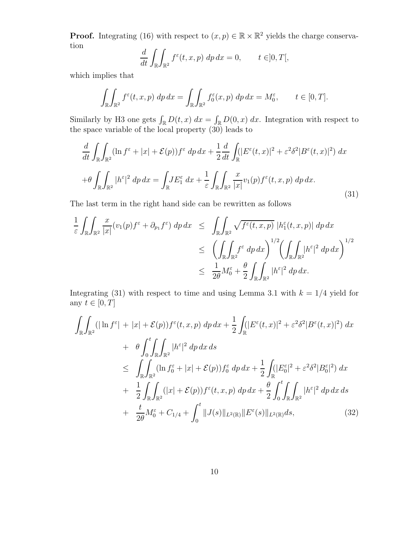**Proof.** Integrating (16) with respect to  $(x, p) \in \mathbb{R} \times \mathbb{R}^2$  yields the charge conservation

$$
\frac{d}{dt} \int_{\mathbb{R}} \int_{\mathbb{R}^2} f^{\varepsilon}(t, x, p) \, dp \, dx = 0, \qquad t \in ]0, T[,
$$

which implies that

$$
\int_{\mathbb{R}} \int_{\mathbb{R}^2} f^{\varepsilon}(t, x, p) \, dp \, dx = \int_{\mathbb{R}} \int_{\mathbb{R}^2} f_0^{\varepsilon}(x, p) \, dp \, dx = M_0^{\varepsilon}, \qquad t \in [0, T].
$$

Similarly by H3 one gets  $\int_{\mathbb{R}} D(t, x) dx = \int_{\mathbb{R}} D(0, x) dx$ . Integration with respect to the space variable of the local property (30) leads to

$$
\frac{d}{dt} \int_{\mathbb{R}} \int_{\mathbb{R}^2} (\ln f^{\varepsilon} + |x| + \mathcal{E}(p)) f^{\varepsilon} dp dx + \frac{1}{2} \frac{d}{dt} \int_{\mathbb{R}} (|E^{\varepsilon}(t, x)|^2 + \varepsilon^2 \delta^2 |B^{\varepsilon}(t, x)|^2) dx
$$
  
+ 
$$
\theta \int_{\mathbb{R}} \int_{\mathbb{R}^2} |h^{\varepsilon}|^2 dp dx = \int_{\mathbb{R}} J E_1^{\varepsilon} dx + \frac{1}{\varepsilon} \int_{\mathbb{R}} \int_{\mathbb{R}^2} \frac{x}{|x|} v_1(p) f^{\varepsilon}(t, x, p) dp dx.
$$
 (31)

The last term in the right hand side can be rewritten as follows

$$
\frac{1}{\varepsilon} \int_{\mathbb{R}} \int_{\mathbb{R}^2} \frac{x}{|x|} (v_1(p) f^{\varepsilon} + \partial_{p_1} f^{\varepsilon}) \, dp \, dx \le \int_{\mathbb{R}} \int_{\mathbb{R}^2} \sqrt{f^{\varepsilon}(t, x, p)} \, |h_1^{\varepsilon}(t, x, p)| \, dp \, dx
$$
\n
$$
\le \left( \int_{\mathbb{R}} \int_{\mathbb{R}^2} f^{\varepsilon} \, dp \, dx \right)^{1/2} \left( \int_{\mathbb{R}} \int_{\mathbb{R}^2} |h^{\varepsilon}|^2 \, dp \, dx \right)^{1/2}
$$
\n
$$
\le \frac{1}{2\theta} M_0^{\varepsilon} + \frac{\theta}{2} \int_{\mathbb{R}} \int_{\mathbb{R}^2} |h^{\varepsilon}|^2 \, dp \, dx.
$$

Integrating (31) with respect to time and using Lemma 3.1 with  $k = 1/4$  yield for any  $t \in [0, T]$ 

$$
\int_{\mathbb{R}} \int_{\mathbb{R}^{2}} (|\ln f^{\varepsilon}| + |x| + \mathcal{E}(p)) f^{\varepsilon}(t, x, p) \, dp \, dx + \frac{1}{2} \int_{\mathbb{R}} (|E^{\varepsilon}(t, x)|^{2} + \varepsilon^{2} \delta^{2} |B^{\varepsilon}(t, x)|^{2}) \, dx \n+ \theta \int_{0}^{t} \int_{\mathbb{R}} \int_{\mathbb{R}^{2}} |h^{\varepsilon}|^{2} \, dp \, dx \, ds \n\leq \int_{\mathbb{R}} \int_{\mathbb{R}^{2}} (\ln f_{0}^{\varepsilon} + |x| + \mathcal{E}(p)) f_{0}^{\varepsilon} \, dp \, dx + \frac{1}{2} \int_{\mathbb{R}} (|E_{0}^{\varepsilon}|^{2} + \varepsilon^{2} \delta^{2} |B_{0}^{\varepsilon}|^{2}) \, dx \n+ \frac{1}{2} \int_{\mathbb{R}} \int_{\mathbb{R}^{2}} (|x| + \mathcal{E}(p)) f^{\varepsilon}(t, x, p) \, dp \, dx + \frac{\theta}{2} \int_{0}^{t} \int_{\mathbb{R}} \int_{\mathbb{R}^{2}} |h^{\varepsilon}|^{2} \, dp \, dx \, ds \n+ \frac{t}{2\theta} M_{0}^{\varepsilon} + C_{1/4} + \int_{0}^{t} ||J(s)||_{L^{2}(\mathbb{R})} ||E^{\varepsilon}(s)||_{L^{2}(\mathbb{R})} ds,
$$
\n(32)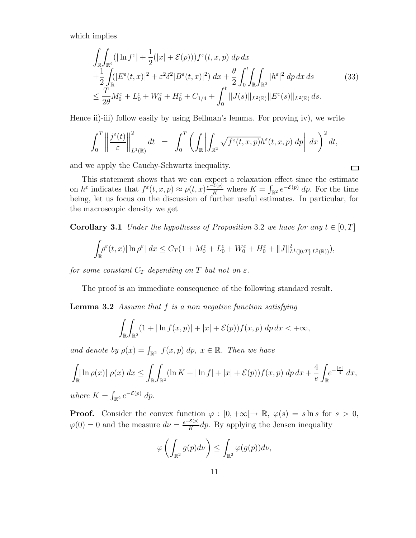which implies

$$
\int_{\mathbb{R}} \int_{\mathbb{R}^2} (|\ln f^{\varepsilon}| + \frac{1}{2} (|x| + \mathcal{E}(p))) f^{\varepsilon}(t, x, p) \, dp \, dx \n+ \frac{1}{2} \int_{\mathbb{R}} (|E^{\varepsilon}(t, x)|^2 + \varepsilon^2 \delta^2 |B^{\varepsilon}(t, x)|^2) \, dx + \frac{\theta}{2} \int_0^t \int_{\mathbb{R}} \int_{\mathbb{R}^2} |h^{\varepsilon}|^2 \, dp \, dx \, ds \qquad (33) \n\leq \frac{T}{2\theta} M_0^{\varepsilon} + L_0^{\varepsilon} + W_0^{\varepsilon} + H_0^{\varepsilon} + C_{1/4} + \int_0^t \|J(s)\|_{L^2(\mathbb{R})} \|E^{\varepsilon}(s)\|_{L^2(\mathbb{R})} \, ds.
$$

Hence ii)-iii) follow easily by using Bellman's lemma. For proving iv), we write

$$
\int_0^T \left\| \frac{j^{\varepsilon}(t)}{\varepsilon} \right\|_{L^1(\mathbb{R})}^2 dt = \int_0^T \left( \int_{\mathbb{R}} \left| \int_{\mathbb{R}^2} \sqrt{f^{\varepsilon}(t,x,p)} h^{\varepsilon}(t,x,p) dp \right| dx \right)^2 dt,
$$

and we apply the Cauchy-Schwartz inequality.

 $\Box$ 

This statement shows that we can expect a relaxation effect since the estimate on  $h^{\varepsilon}$  indicates that  $f^{\varepsilon}(t, x, p) \approx \rho(t, x) \frac{e^{-\mathcal{E}(p)}}{K}$  where  $K = \int_{\mathbb{R}^2} e^{-\mathcal{E}(p)} dp$ . For the time being, let us focus on the discussion of further useful estimates. In particular, for the macroscopic density we get

**Corollary 3.1** Under the hypotheses of Proposition 3.2 we have for any  $t \in [0, T]$ 

$$
\int_{\mathbb{R}} \rho^{\varepsilon}(t,x) |\ln \rho^{\varepsilon}| dx \leq C_T (1 + M_0^{\varepsilon} + L_0^{\varepsilon} + W_0^{\varepsilon} + H_0^{\varepsilon} + ||J||_{L^1([0,T[;L^2(\mathbb{R}))}^2),
$$

for some constant  $C_T$  depending on T but not on  $\varepsilon$ .

The proof is an immediate consequence of the following standard result.

**Lemma 3.2** Assume that  $f$  is a non negative function satisfying

$$
\int_{\mathbb{R}}\int_{\mathbb{R}^2}(1+|\ln f(x,p)|+|x|+\mathcal{E}(p))f(x,p)\,dp\,dx<+\infty,
$$

and denote by  $\rho(x) = \int_{\mathbb{R}^2} f(x, p) dp$ ,  $x \in \mathbb{R}$ . Then we have

$$
\int_{\mathbb{R}} \ln \rho(x) |\rho(x) dx \le \int_{\mathbb{R}} \int_{\mathbb{R}^2} (\ln K + |\ln f| + |x| + \mathcal{E}(p)) f(x, p) dp dx + \frac{4}{e} \int_{\mathbb{R}} e^{-\frac{|x|}{4}} dx,
$$
  
where  $K = \int_{\mathbb{R}^2} e^{-\mathcal{E}(p)} dp$ .

**Proof.** Consider the convex function  $\varphi : [0, +\infty] \to \mathbb{R}, \varphi(s) = s \ln s$  for  $s > 0$ ,  $\varphi(0) = 0$  and the measure  $d\nu = \frac{e^{-\mathcal{E}(p)}}{K}$  $\frac{\partial^2 (p)}{K}$  dp. By applying the Jensen inequality

$$
\varphi\left(\int_{\mathbb{R}^2} g(p) d\nu\right) \leq \int_{\mathbb{R}^2} \varphi(g(p)) d\nu,
$$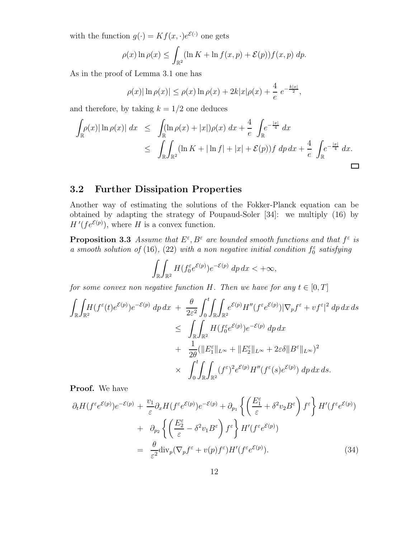with the function  $g(\cdot) = Kf(x, \cdot)e^{\mathcal{E}(\cdot)}$  one gets

$$
\rho(x)\ln\rho(x) \le \int_{\mathbb{R}^2} (\ln K + \ln f(x, p) + \mathcal{E}(p)) f(x, p) dp.
$$

As in the proof of Lemma 3.1 one has

$$
\rho(x)|\ln \rho(x)| \le \rho(x)\ln \rho(x) + 2k|x|\rho(x) + \frac{4}{e} e^{-\frac{k|x|}{2}},
$$

and therefore, by taking  $k = 1/2$  one deduces

$$
\int_{\mathbb{R}} \rho(x) |\ln \rho(x)| dx \leq \int_{\mathbb{R}} (\ln \rho(x) + |x|) \rho(x) dx + \frac{4}{e} \int_{\mathbb{R}} e^{-\frac{|x|}{4}} dx
$$
  

$$
\leq \int_{\mathbb{R}} \int_{\mathbb{R}^2} (\ln K + |\ln f| + |x| + \mathcal{E}(p)) f \, dp \, dx + \frac{4}{e} \int_{\mathbb{R}} e^{-\frac{|x|}{4}} dx.
$$

### 3.2 Further Dissipation Properties

Another way of estimating the solutions of the Fokker-Planck equation can be obtained by adapting the strategy of Poupaud-Soler [34]: we multiply (16) by  $H'(fe^{\mathcal{E}(p)})$ , where H is a convex function.

**Proposition 3.3** Assume that  $E^{\varepsilon}, B^{\varepsilon}$  are bounded smooth functions and that  $f^{\varepsilon}$  is a smooth solution of (16), (22) with a non negative initial condition  $f_0^{\varepsilon}$  satisfying

$$
\int_{\mathbb{R}} \int_{\mathbb{R}^2} H(f_0^{\varepsilon} e^{\mathcal{E}(p)}) e^{-\mathcal{E}(p)} dp dx < +\infty,
$$

for some convex non negative function H. Then we have for any  $t \in [0, T]$ 

$$
\int_{\mathbb{R}} \int_{\mathbb{R}^2} H(f^{\varepsilon}(t)e^{\mathcal{E}(p)}) e^{-\mathcal{E}(p)} dp dx + \frac{\theta}{2\varepsilon^2} \int_0^t \int_{\mathbb{R}} \int_{\mathbb{R}^2} e^{\mathcal{E}(p)} H''(f^{\varepsilon}e^{\mathcal{E}(p)}) |\nabla_p f^{\varepsilon} + v f^{\varepsilon}|^2 dp dx ds \n&\leq \int_{\mathbb{R}} \int_{\mathbb{R}^2} H(f_0^{\varepsilon}e^{\mathcal{E}(p)}) e^{-\mathcal{E}(p)} dp dx \n&+ \frac{1}{2\theta} (\|E_1^{\varepsilon}\|_{L^{\infty}} + \|E_2^{\varepsilon}\|_{L^{\infty}} + 2\varepsilon \delta \|B^{\varepsilon}\|_{L^{\infty}})^2 \n\times \int_0^t \int_{\mathbb{R}} \int_{\mathbb{R}^2} (f^{\varepsilon})^2 e^{\mathcal{E}(p)} H''(f^{\varepsilon}(s)e^{\mathcal{E}(p)}) dp dx ds.
$$

Proof. We have

$$
\partial_t H(f^\varepsilon e^{\mathcal{E}(p)}) e^{-\mathcal{E}(p)} + \frac{v_1}{\varepsilon} \partial_x H(f^\varepsilon e^{\mathcal{E}(p)}) e^{-\mathcal{E}(p)} + \partial_{p_1} \left\{ \left( \frac{E_1^\varepsilon}{\varepsilon} + \delta^2 v_2 B^\varepsilon \right) f^\varepsilon \right\} H'(f^\varepsilon e^{\mathcal{E}(p)}) + \partial_{p_2} \left\{ \left( \frac{E_2^\varepsilon}{\varepsilon} - \delta^2 v_1 B^\varepsilon \right) f^\varepsilon \right\} H'(f^\varepsilon e^{\mathcal{E}(p)}) = \frac{\theta}{\varepsilon^2} \text{div}_p (\nabla_p f^\varepsilon + v(p) f^\varepsilon) H'(f^\varepsilon e^{\mathcal{E}(p)}).
$$
(34)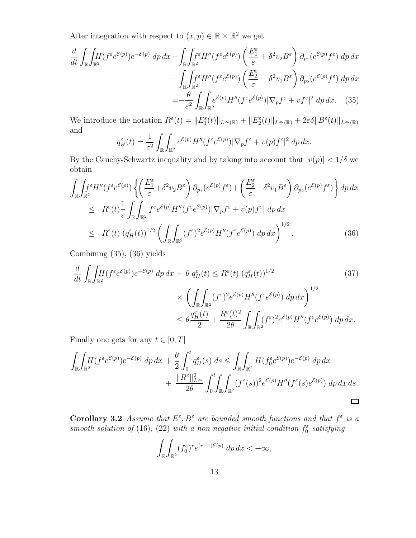After integration with respect to  $(x, p) \in \mathbb{R} \times \mathbb{R}^2$  we get

$$
\frac{d}{dt} \int_{\mathbb{R}} \int_{\mathbb{R}^2} H(f^{\varepsilon} e^{\mathcal{E}(p)}) e^{-\mathcal{E}(p)} dp dx - \int_{\mathbb{R}} \int_{\mathbb{R}^2} f^{\varepsilon} H''(f^{\varepsilon} e^{\mathcal{E}(p)}) \left( \frac{E_1^{\varepsilon}}{\varepsilon} + \delta^2 v_2 B^{\varepsilon} \right) \partial_{p_1} (e^{\mathcal{E}(p)} f^{\varepsilon}) dp dx \n- \int_{\mathbb{R}} \int_{\mathbb{R}^2} f^{\varepsilon} H''(f^{\varepsilon} e^{\mathcal{E}(p)}) \left( \frac{E_2^{\varepsilon}}{\varepsilon} - \delta^2 v_1 B^{\varepsilon} \right) \partial_{p_2} (e^{\mathcal{E}(p)} f^{\varepsilon}) dp dx \n= - \frac{\theta}{\varepsilon^2} \int_{\mathbb{R}} \int_{\mathbb{R}^2} e^{\mathcal{E}(p)} H''(f^{\varepsilon} e^{\mathcal{E}(p)}) |\nabla_p f^{\varepsilon} + v f^{\varepsilon}|^2 dp dx. \quad (35)
$$

We introduce the notation  $R^{\varepsilon}(t) = ||E_1^{\varepsilon}(t)||_{L^{\infty}(\mathbb{R})} + ||E_2^{\varepsilon}(t)||_{L^{\infty}(\mathbb{R})} + 2\varepsilon \delta ||B^{\varepsilon}(t)||_{L^{\infty}(\mathbb{R})}$ and

$$
q_H^{\varepsilon}(t) = \frac{1}{\varepsilon^2} \int_{\mathbb{R}} \int_{\mathbb{R}^2} e^{\mathcal{E}(p)} H''(f^{\varepsilon} e^{\mathcal{E}(p)}) |\nabla_p f^{\varepsilon} + v(p) f^{\varepsilon}|^2 \, dp \, dx.
$$

By the Cauchy-Schwartz inequality and by taking into account that  $|v(p)| < 1/\delta$  we obtain

$$
\int_{\mathbb{R}} \int_{\mathbb{R}^2} f^{\varepsilon} H''(f^{\varepsilon} e^{\mathcal{E}(p)}) \left\{ \left( \frac{E_1^{\varepsilon}}{\varepsilon} + \delta^2 v_2 B^{\varepsilon} \right) \partial_{p_1} (e^{\mathcal{E}(p)} f^{\varepsilon}) + \left( \frac{E_2^{\varepsilon}}{\varepsilon} - \delta^2 v_1 B^{\varepsilon} \right) \partial_{p_2} (e^{\mathcal{E}(p)} f^{\varepsilon}) \right\} dp \, dx
$$
\n
$$
\leq R^{\varepsilon}(t) \frac{1}{\varepsilon} \int_{\mathbb{R}} \int_{\mathbb{R}^2} f^{\varepsilon} e^{\mathcal{E}(p)} H''(f^{\varepsilon} e^{\mathcal{E}(p)}) |\nabla_p f^{\varepsilon} + v(p) f^{\varepsilon}| \, dp \, dx
$$
\n
$$
\leq R^{\varepsilon}(t) \left( q_H^{\varepsilon}(t) \right)^{1/2} \left( \int_{\mathbb{R}} \int_{\mathbb{R}^2} (f^{\varepsilon})^2 e^{\mathcal{E}(p)} H''(f^{\varepsilon} e^{\mathcal{E}(p)}) \, dp \, dx \right)^{1/2} . \tag{36}
$$

Combining (35), (36) yields

$$
\frac{d}{dt} \int_{\mathbb{R}} \int_{\mathbb{R}^2} (f^{\varepsilon} e^{\mathcal{E}(p)}) e^{-\mathcal{E}(p)} dp dx + \theta q_H^{\varepsilon}(t) \leq R^{\varepsilon}(t) (q_H^{\varepsilon}(t))^{1/2} \tag{37}
$$
\n
$$
\times \left( \int_{\mathbb{R}} \int_{\mathbb{R}^2} (f^{\varepsilon})^2 e^{\mathcal{E}(p)} H'' (f^{\varepsilon} e^{\mathcal{E}(p)}) dp dx \right)^{1/2}
$$
\n
$$
\leq \theta \frac{q_H^{\varepsilon}(t)}{2} + \frac{R^{\varepsilon}(t)^2}{2\theta} \int_{\mathbb{R}} \int_{\mathbb{R}^2} (f^{\varepsilon})^2 e^{\mathcal{E}(p)} H'' (f^{\varepsilon} e^{\mathcal{E}(p)}) dp dx.
$$

Finally one gets for any  $t \in [0, T]$ 

$$
\int_{\mathbb{R}} \int_{\mathbb{R}^2} H(f^{\varepsilon} e^{\mathcal{E}(p)}) e^{-\mathcal{E}(p)} dp dx + \frac{\theta}{2} \int_0^t q_H^{\varepsilon}(s) ds \le \int_{\mathbb{R}} \int_{\mathbb{R}^2} H(f_0^{\varepsilon} e^{\mathcal{E}(p)}) e^{-\mathcal{E}(p)} dp dx + \frac{\|R^{\varepsilon}\|_{L^{\infty}}^2}{2\theta} \int_0^t \int_{\mathbb{R}} \int_{\mathbb{R}^2} (f^{\varepsilon}(s))^2 e^{\mathcal{E}(p)} H''(f^{\varepsilon}(s) e^{\mathcal{E}(p)}) dp dx ds.
$$

Corollary 3.2 Assume that  $E^{\varepsilon}, B^{\varepsilon}$  are bounded smooth functions and that  $f^{\varepsilon}$  is a smooth solution of (16), (22) with a non negative initial condition  $f_0^{\varepsilon}$  satisfying

$$
\int_{\mathbb{R}} \int_{\mathbb{R}^2} (f_0^{\varepsilon})^r e^{(r-1)\mathcal{E}(p)} dp dx < +\infty,
$$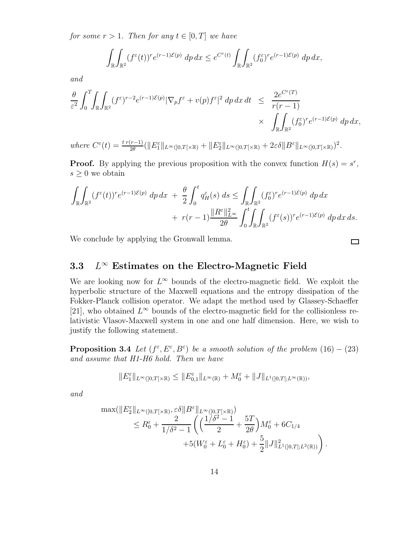for some  $r > 1$ . Then for any  $t \in [0, T]$  we have

$$
\int_{\mathbb{R}} \int_{\mathbb{R}^2} (f^{\varepsilon}(t))^r e^{(r-1)\mathcal{E}(p)} dp dx \leq e^{C^{\varepsilon}(t)} \int_{\mathbb{R}} \int_{\mathbb{R}^2} (f_0^{\varepsilon})^r e^{(r-1)\mathcal{E}(p)} dp dx,
$$

and

$$
\frac{\theta}{\varepsilon^2} \int_0^T \int_{\mathbb{R}^2} (f^{\varepsilon})^{r-2} e^{(r-1)\mathcal{E}(p)} |\nabla_p f^{\varepsilon} + v(p) f^{\varepsilon}|^2 dp dx dt \leq \frac{2e^{C^{\varepsilon}(T)}}{r(r-1)} \times \int_{\mathbb{R}} \int_{\mathbb{R}^2} (f_0^{\varepsilon})^r e^{(r-1)\mathcal{E}(p)} dp dx,
$$

where  $C^{\varepsilon}(t) = \frac{t r(r-1)}{2\theta} (\|E_1^{\varepsilon}\|_{L^{\infty}(]0,T[\times \mathbb{R})} + \|E_2^{\varepsilon}\|_{L^{\infty}(]0,T[\times \mathbb{R})} + 2\varepsilon \delta \|B^{\varepsilon}\|_{L^{\infty}(]0,T[\times \mathbb{R})})^2$ .

**Proof.** By applying the previous proposition with the convex function  $H(s) = s^r$ ,  $s \geq 0$  we obtain

$$
\int_{\mathbb{R}} \int_{\mathbb{R}^2} (f^{\varepsilon}(t))^r e^{(r-1)\mathcal{E}(p)} dp dx + \frac{\theta}{2} \int_0^t q_H^{\varepsilon}(s) ds \le \int_{\mathbb{R}} \int_{\mathbb{R}^2} (f_0^{\varepsilon})^r e^{(r-1)\mathcal{E}(p)} dp dx \n+ r(r-1) \frac{\|R^{\varepsilon}\|_{L^{\infty}}^2}{2\theta} \int_0^t \int_{\mathbb{R}} \int_{\mathbb{R}^2} (f^{\varepsilon}(s))^r e^{(r-1)\mathcal{E}(p)} dp dx ds.
$$

 $\Box$ 

We conclude by applying the Gronwall lemma.

#### 3.3 L  $L^{\infty}$  Estimates on the Electro-Magnetic Field

We are looking now for  $L^{\infty}$  bounds of the electro-magnetic field. We exploit the hyperbolic structure of the Maxwell equations and the entropy dissipation of the Fokker-Planck collision operator. We adapt the method used by Glassey-Schaeffer [21], who obtained  $L^{\infty}$  bounds of the electro-magnetic field for the collisionless relativistic Vlasov-Maxwell system in one and one half dimension. Here, we wish to justify the following statement.

**Proposition 3.4** Let  $(f^{\varepsilon}, E^{\varepsilon}, B^{\varepsilon})$  be a smooth solution of the problem  $(16) - (23)$ and assume that H1-H6 hold. Then we have

$$
||E_1^{\varepsilon}||_{L^{\infty}(]0,T[ \times \mathbb{R})} \leq ||E_{0,1}^{\varepsilon}||_{L^{\infty}(\mathbb{R})} + M_0^{\varepsilon} + ||J||_{L^1([0,T[;L^{\infty}(\mathbb{R}))},
$$

and

$$
\max(\|E_2^{\varepsilon}\|_{L^{\infty}(]0,T[\times\mathbb{R})},\varepsilon\delta\|B^{\varepsilon}\|_{L^{\infty}(]0,T[\times\mathbb{R})})\n\n\le R_0^{\varepsilon} + \frac{2}{1/\delta^2 - 1}\left(\left(\frac{1/\delta^2 - 1}{2} + \frac{5T}{2\theta}\right)M_0^{\varepsilon} + 6C_{1/4}\n+ 5(W_0^{\varepsilon} + L_0^{\varepsilon} + H_0^{\varepsilon}) + \frac{5}{2}\|J\|_{L^1([0,T[;L^2(\mathbb{R}))}^2\right).
$$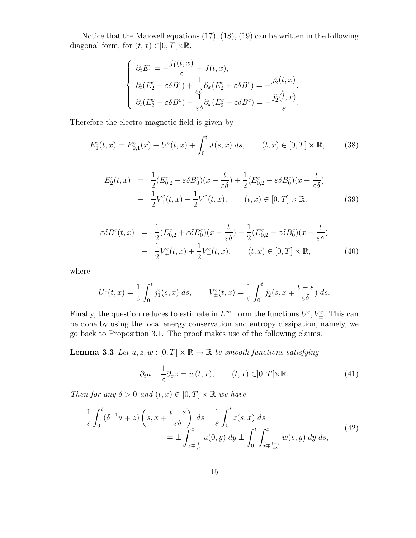Notice that the Maxwell equations (17), (18), (19) can be written in the following diagonal form, for  $(t, x) \in ]0, T[ \times \mathbb{R},$ 

$$
\left\{ \begin{array}{l} \partial_t E_1^\varepsilon = -\dfrac{j_1^\varepsilon(t,x)}{\varepsilon} + J(t,x), \\ \partial_t (E_2^\varepsilon + \varepsilon \delta B^\varepsilon) + \dfrac{1}{\varepsilon \delta} \partial_x (E_2^\varepsilon + \varepsilon \delta B^\varepsilon) = -\dfrac{j_2^\varepsilon(t,x)}{\varepsilon}, \\ \partial_t (E_2^\varepsilon - \varepsilon \delta B^\varepsilon) - \dfrac{1}{\varepsilon \delta} \partial_x (E_2^\varepsilon - \varepsilon \delta B^\varepsilon) = -\dfrac{j_2^\varepsilon(\tilde{t},x)}{\varepsilon}. \end{array} \right.
$$

Therefore the electro-magnetic field is given by

$$
E_1^{\varepsilon}(t,x) = E_{0,1}^{\varepsilon}(x) - U^{\varepsilon}(t,x) + \int_0^t J(s,x) \, ds, \qquad (t,x) \in [0,T] \times \mathbb{R}, \tag{38}
$$

$$
E_2^{\varepsilon}(t,x) = \frac{1}{2}(E_{0,2}^{\varepsilon} + \varepsilon \delta B_0^{\varepsilon})(x - \frac{t}{\varepsilon \delta}) + \frac{1}{2}(E_{0,2}^{\varepsilon} - \varepsilon \delta B_0^{\varepsilon})(x + \frac{t}{\varepsilon \delta})
$$
  
- 
$$
\frac{1}{2}V_+^{\varepsilon}(t,x) - \frac{1}{2}V_-^{\varepsilon}(t,x), \qquad (t,x) \in [0,T] \times \mathbb{R},
$$
 (39)

$$
\varepsilon \delta B^{\varepsilon}(t,x) = \frac{1}{2} (E^{\varepsilon}_{0,2} + \varepsilon \delta B^{\varepsilon}_0)(x - \frac{t}{\varepsilon \delta}) - \frac{1}{2} (E^{\varepsilon}_{0,2} - \varepsilon \delta B^{\varepsilon}_0)(x + \frac{t}{\varepsilon \delta}) - \frac{1}{2} V^{\varepsilon}_+(t,x) + \frac{1}{2} V^{\varepsilon}_-(t,x), \qquad (t,x) \in [0,T] \times \mathbb{R},
$$
 (40)

where

$$
U^{\varepsilon}(t,x) = \frac{1}{\varepsilon} \int_0^t j_1^{\varepsilon}(s,x) \, ds, \qquad V_{\pm}^{\varepsilon}(t,x) = \frac{1}{\varepsilon} \int_0^t j_2^{\varepsilon}(s,x \mp \frac{t-s}{\varepsilon \delta}) \, ds.
$$

Finally, the question reduces to estimate in  $L^{\infty}$  norm the functions  $U^{\varepsilon}$ ,  $V_{\pm}^{\varepsilon}$ . This can be done by using the local energy conservation and entropy dissipation, namely, we go back to Proposition 3.1. The proof makes use of the following claims.

**Lemma 3.3** Let  $u, z, w : [0, T] \times \mathbb{R} \to \mathbb{R}$  be smooth functions satisfying

$$
\partial_t u + \frac{1}{\varepsilon} \partial_x z = w(t, x), \qquad (t, x) \in ]0, T[ \times \mathbb{R}.
$$
 (41)

Then for any  $\delta > 0$  and  $(t, x) \in [0, T] \times \mathbb{R}$  we have

$$
\frac{1}{\varepsilon} \int_0^t (\delta^{-1} u \mp z) \left( s, x \mp \frac{t-s}{\varepsilon \delta} \right) ds \pm \frac{1}{\varepsilon} \int_0^t z(s, x) ds
$$
\n
$$
= \pm \int_{x \mp \frac{t}{\varepsilon \delta}}^x u(0, y) dy \pm \int_0^t \int_{x \mp \frac{t-s}{\varepsilon \delta}}^x w(s, y) dy ds,
$$
\n(42)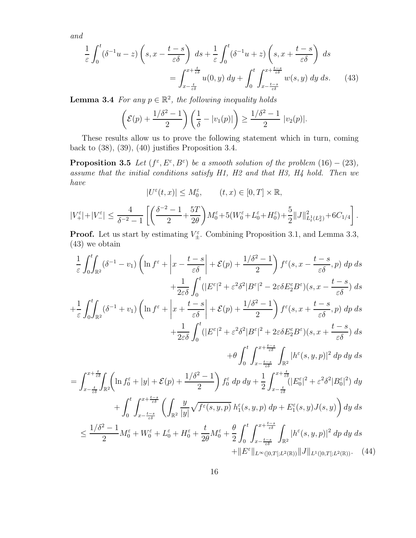and

$$
\frac{1}{\varepsilon} \int_0^t (\delta^{-1}u - z) \left( s, x - \frac{t - s}{\varepsilon \delta} \right) ds + \frac{1}{\varepsilon} \int_0^t (\delta^{-1}u + z) \left( s, x + \frac{t - s}{\varepsilon \delta} \right) ds
$$

$$
= \int_{x - \frac{t}{\varepsilon \delta}}^{x + \frac{t}{\varepsilon \delta}} u(0, y) dy + \int_0^t \int_{x - \frac{t - s}{\varepsilon \delta}}^{x + \frac{t - s}{\varepsilon \delta}} w(s, y) dy ds. \tag{43}
$$

**Lemma 3.4** For any  $p \in \mathbb{R}^2$ , the following inequality holds

$$
\left(\mathcal{E}(p) + \frac{1/\delta^2 - 1}{2}\right)\left(\frac{1}{\delta} - |v_1(p)|\right) \ge \frac{1/\delta^2 - 1}{2} |v_2(p)|.
$$

These results allow us to prove the following statement which in turn, coming back to  $(38)$ ,  $(39)$ ,  $(40)$  justifies Proposition 3.4.

**Proposition 3.5** Let  $(f^{\varepsilon}, E^{\varepsilon}, B^{\varepsilon})$  be a smooth solution of the problem  $(16) - (23)$ , assume that the initial conditions satisfy H1, H2 and that H3, H4 hold. Then we have

$$
|U^\varepsilon(t,x)|\leq M_0^\varepsilon,\qquad (t,x)\in [0,T]\times \mathbb{R},
$$

$$
|V_{+}^{\varepsilon}|+|V_{-}^{\varepsilon}|\leq \frac{4}{\delta^{-2}-1}\left[\left(\frac{\delta^{-2}-1}{2}+\frac{5T}{2\theta}\right)M_{0}^{\varepsilon}+5(W_{0}^{\varepsilon}+L_{0}^{\varepsilon}+H_{0}^{\varepsilon})+\frac{5}{2}\|J\|_{L_{t}^{1}(L_{x}^{2})}^{2}+6C_{1/4}\right].
$$

**Proof.** Let us start by estimating  $V_{\pm}^{\varepsilon}$ . Combining Proposition 3.1, and Lemma 3.3, (43) we obtain

$$
\frac{1}{\varepsilon} \int_{0}^{t} \int_{\mathbb{R}^{2}} (\delta^{-1} - v_{1}) \left( \ln f^{\varepsilon} + \left| x - \frac{t - s}{\varepsilon \delta} \right| + \mathcal{E}(p) + \frac{1/\delta^{2} - 1}{2} \right) f^{\varepsilon}(s, x - \frac{t - s}{\varepsilon \delta}, p) \, dp \, ds
$$
\n
$$
+ \frac{1}{2\varepsilon \delta} \int_{0}^{t} (|E^{\varepsilon}|^{2} + \varepsilon^{2} \delta^{2}|B^{\varepsilon}|^{2} - 2\varepsilon \delta E_{2}^{\varepsilon} B^{\varepsilon})(s, x - \frac{t - s}{\varepsilon \delta}) \, ds
$$
\n
$$
+ \frac{1}{\varepsilon} \int_{0}^{t} \int_{\mathbb{R}^{2}} (\delta^{-1} + v_{1}) \left( \ln f^{\varepsilon} + \left| x + \frac{t - s}{\varepsilon \delta} \right| + \mathcal{E}(p) + \frac{1/\delta^{2} - 1}{2} \right) f^{\varepsilon}(s, x + \frac{t - s}{\varepsilon \delta}, p) \, dp \, ds
$$
\n
$$
+ \frac{1}{2\varepsilon \delta} \int_{0}^{t} (|E^{\varepsilon}|^{2} + \varepsilon^{2} \delta^{2}|B^{\varepsilon}|^{2} + 2\varepsilon \delta E_{2}^{\varepsilon} B^{\varepsilon})(s, x + \frac{t - s}{\varepsilon \delta}) \, ds
$$
\n
$$
+ \theta \int_{0}^{t} \int_{x - \frac{t - s}{\varepsilon \delta}}^{x + \frac{t}{\varepsilon \delta}} \int_{\mathbb{R}^{2}} |h^{\varepsilon}(s, y, p)|^{2} \, dp \, dy \, ds
$$
\n
$$
= \int_{x - \frac{t}{\varepsilon \delta}}^{x + \frac{t}{\varepsilon \delta}} \int_{\mathbb{R}^{2}} \left( \ln f_{0}^{\varepsilon} + |y| + \mathcal{E}(p) + \frac{1/\delta^{2} - 1}{2} \right) f_{0}^{\varepsilon} \, dp \, dy + \frac{1}{2} \int_{x - \frac{t - s}{\varepsilon \delta}}^{x + \frac{t}{\varepsilon \delta}}
$$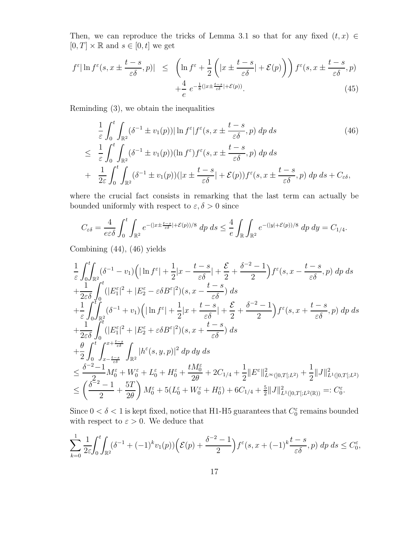Then, we can reproduce the tricks of Lemma 3.1 so that for any fixed  $(t, x) \in$  $[0, T] \times \mathbb{R}$  and  $s \in [0, t]$  we get

$$
f^{\varepsilon}|\ln f^{\varepsilon}(s, x \pm \frac{t-s}{\varepsilon\delta}, p)| \leq \left(\ln f^{\varepsilon} + \frac{1}{2}\left(|x \pm \frac{t-s}{\varepsilon\delta}| + \mathcal{E}(p)\right)\right) f^{\varepsilon}(s, x \pm \frac{t-s}{\varepsilon\delta}, p) + \frac{4}{e} e^{-\frac{1}{8}(|x \pm \frac{t-s}{\varepsilon\delta}| + \mathcal{E}(p))}.
$$
\n(45)

Reminding (3), we obtain the inequalities

$$
\frac{1}{\varepsilon} \int_0^t \int_{\mathbb{R}^2} (\delta^{-1} \pm v_1(p)) |\ln f^{\varepsilon}| f^{\varepsilon}(s, x \pm \frac{t-s}{\varepsilon \delta}, p) dp ds \qquad (46)
$$
\n
$$
\leq \frac{1}{\varepsilon} \int_0^t \int_{\mathbb{R}^2} (\delta^{-1} \pm v_1(p)) (\ln f^{\varepsilon}) f^{\varepsilon}(s, x \pm \frac{t-s}{\varepsilon \delta}, p) dp ds
$$
\n
$$
+ \frac{1}{2\varepsilon} \int_0^t \int_{\mathbb{R}^2} (\delta^{-1} \pm v_1(p)) (|x \pm \frac{t-s}{\varepsilon \delta}| + \mathcal{E}(p)) f^{\varepsilon}(s, x \pm \frac{t-s}{\varepsilon \delta}, p) dp ds + C_{\varepsilon \delta},
$$

where the crucial fact consists in remarking that the last term can actually be bounded uniformly with respect to  $\varepsilon, \delta > 0$  since

$$
C_{\varepsilon\delta} = \frac{4}{e\varepsilon\delta} \int_0^t \int_{\mathbb{R}^2} e^{-(|x \pm \frac{t-s}{\varepsilon\delta}| + \mathcal{E}(p))/8} dp \, ds \le \frac{4}{e} \int_{\mathbb{R}} \int_{\mathbb{R}^2} e^{-(|y| + \mathcal{E}(p))/8} dp \, dy = C_{1/4}.
$$

Combining (44), (46) yields

$$
\frac{1}{\varepsilon} \int_0^t \int_{\mathbb{R}^2} (\delta^{-1} - v_1) \left( |\ln f^{\varepsilon}| + \frac{1}{2} |x - \frac{t - s}{\varepsilon \delta} | + \frac{\mathcal{E}}{2} + \frac{\delta^{-2} - 1}{2} \right) f^{\varepsilon}(s, x - \frac{t - s}{\varepsilon \delta}, p) \, dp \, ds \n+ \frac{1}{2\varepsilon \delta} \int_0^t (|E_1^{\varepsilon}|^2 + |E_2^{\varepsilon} - \varepsilon \delta B^{\varepsilon}|^2)(s, x - \frac{t - s}{\varepsilon \delta}) \, ds \n+ \frac{1}{\varepsilon} \int_0^t \int_{\mathbb{R}^2} (\delta^{-1} + v_1) \left( |\ln f^{\varepsilon}| + \frac{1}{2} |x + \frac{t - s}{\varepsilon \delta} | + \frac{\mathcal{E}}{2} + \frac{\delta^{-2} - 1}{2} \right) f^{\varepsilon}(s, x + \frac{t - s}{\varepsilon \delta}, p) \, dp \, ds \n+ \frac{1}{2\varepsilon \delta} \int_0^t (|E_1^{\varepsilon}|^2 + |E_2^{\varepsilon} + \varepsilon \delta B^{\varepsilon}|^2)(s, x + \frac{t - s}{\varepsilon \delta}) \, ds \n+ \frac{\theta}{2} \int_0^t \int_{x - \frac{t - s}{\varepsilon \delta}}^{x + \frac{t - s}{\varepsilon \delta}} \int_{\mathbb{R}^2} |h^{\varepsilon}(s, y, p)|^2 \, dp \, dy \, ds \n\leq \frac{\delta^{-2} - 1}{2} M_0^{\varepsilon} + W_0^{\varepsilon} + L_0^{\varepsilon} + H_0^{\varepsilon} + \frac{t M_0^{\varepsilon}}{2\theta} + 2C_{1/4} + \frac{1}{2} ||E^{\varepsilon}||_{L^{\infty}(0, T]; L^2)} + \frac{1}{2} ||J||_{L^1(0, T]; L^2)}^2 \n\leq \left( \frac{\delta^{-2} - 1}{2} + \frac{5T}{2\theta} \right) M_0^{\varepsilon} + 5(L_0^{\varepsilon} + W_0^{\varepsilon} + H_0^
$$

Since  $0 < \delta < 1$  is kept fixed, notice that H1-H5 guarantees that  $C_0^{\varepsilon}$  remains bounded with respect to  $\varepsilon > 0$ . We deduce that

$$
\sum_{k=0}^{1} \frac{1}{2\varepsilon} \int_0^t \int_{\mathbb{R}^2} (\delta^{-1} + (-1)^k v_1(p)) \left( \mathcal{E}(p) + \frac{\delta^{-2} - 1}{2} \right) f^{\varepsilon}(s, x + (-1)^k \frac{t - s}{\varepsilon \delta}, p) dp ds \le C_0^{\varepsilon},
$$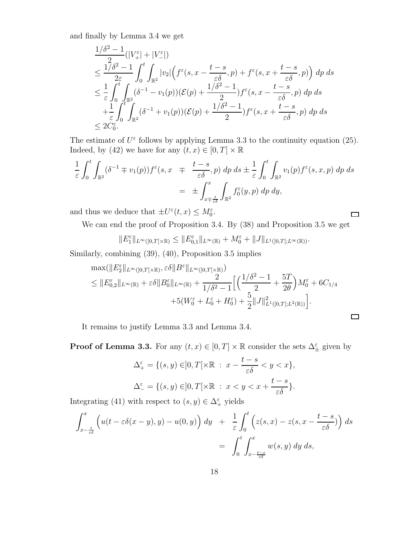and finally by Lemma 3.4 we get

$$
\frac{1/\delta^2 - 1}{2\epsilon}(|V_+^{\epsilon}| + |V_-^{\epsilon}|)
$$
\n
$$
\leq \frac{1/\delta^2 - 1}{2\epsilon} \int_0^t \int_{\mathbb{R}^2} |v_2| \left( f^{\epsilon}(s, x - \frac{t - s}{\epsilon \delta}, p) + f^{\epsilon}(s, x + \frac{t - s}{\epsilon \delta}, p) \right) dp ds
$$
\n
$$
\leq \frac{1}{\epsilon} \int_0^t \int_{\mathbb{R}^2} (\delta^{-1} - v_1(p)) (\mathcal{E}(p) + \frac{1/\delta^2 - 1}{2}) f^{\epsilon}(s, x - \frac{t - s}{\epsilon \delta}, p) dp ds
$$
\n
$$
+ \frac{1}{\epsilon} \int_0^t \int_{\mathbb{R}^2} (\delta^{-1} + v_1(p)) (\mathcal{E}(p) + \frac{1/\delta^2 - 1}{2}) f^{\epsilon}(s, x + \frac{t - s}{\epsilon \delta}, p) dp ds
$$
\n
$$
\leq 2C_0^{\epsilon}.
$$

The estimate of  $U^{\varepsilon}$  follows by applying Lemma 3.3 to the continuity equation (25). Indeed, by (42) we have for any  $(t,x) \in [0,T] \times \mathbb{R}$ 

$$
\frac{1}{\varepsilon} \int_0^t \int_{\mathbb{R}^2} (\delta^{-1} \mp v_1(p)) f^{\varepsilon}(s, x) \mp \frac{t-s}{\varepsilon \delta}, p) dp ds \pm \frac{1}{\varepsilon} \int_0^t \int_{\mathbb{R}^2} v_1(p) f^{\varepsilon}(s, x, p) dp ds \n= \pm \int_{x \mp \frac{t}{\varepsilon \delta}}^x \int_{\mathbb{R}^2} f_0^{\varepsilon}(y, p) dp dy,
$$

and thus we deduce that  $\pm U^{\varepsilon}(t,x) \leq M_0^{\varepsilon}$ .

We can end the proof of Proposition 3.4. By (38) and Proposition 3.5 we get

 $\Box$ 

 $\Box$ 

$$
||E_1^{\varepsilon}||_{L^{\infty}([0,T[\times \mathbb{R})} \leq ||E_{0,1}^{\varepsilon}||_{L^{\infty}(\mathbb{R})} + M_0^{\varepsilon} + ||J||_{L^1([0,T[;L^{\infty}(\mathbb{R}))}.
$$

Similarly, combining (39), (40), Proposition 3.5 implies

$$
\max(\|E_2^{\varepsilon}\|_{L^{\infty}(]0,T[\times\mathbb{R})},\varepsilon\delta\|B^{\varepsilon}\|_{L^{\infty}(]0,T[\times\mathbb{R})})
$$
  
\$\leq \|E\_{0,2}^{\varepsilon}\|\_{L^{\infty}(\mathbb{R})} + \varepsilon\delta\|B\_0^{\varepsilon}\|\_{L^{\infty}(\mathbb{R})} + \frac{2}{1/\delta^2 - 1}\Big[\Big(\frac{1/\delta^2 - 1}{2} + \frac{5T}{2\theta}\Big)M\_0^{\varepsilon} + 6C\_{1/4} + 5(W\_0^{\varepsilon} + L\_0^{\varepsilon} + H\_0^{\varepsilon}) + \frac{5}{2}\|J\|\_{L^1([0,T[;L^2(\mathbb{R}))}^2\Big].

It remains to justify Lemma 3.3 and Lemma 3.4.

**Proof of Lemma 3.3.** For any  $(t, x) \in [0, T] \times \mathbb{R}$  consider the sets  $\Delta_{\pm}^{\varepsilon}$  given by

$$
\Delta_+^{\varepsilon} = \{ (s, y) \in ]0, T[ \times \mathbb{R} : x - \frac{t - s}{\varepsilon \delta} < y < x \},\
$$
  

$$
\Delta_-^{\varepsilon} = \{ (s, y) \in ]0, T[ \times \mathbb{R} : x < y < x + \frac{t - s}{\varepsilon \delta} \}.
$$

Integrating (41) with respect to  $(s, y) \in \Delta^{\varepsilon}_+$  yields

$$
\int_{x-\frac{t}{\varepsilon\delta}}^x \left( u(t-\varepsilon\delta(x-y),y) - u(0,y) \right) dy + \frac{1}{\varepsilon} \int_0^t \left( z(s,x) - z(s,x-\frac{t-s}{\varepsilon\delta}) \right) ds
$$
  
= 
$$
\int_0^t \int_{x-\frac{t-s}{\varepsilon\delta}}^x w(s,y) dy ds,
$$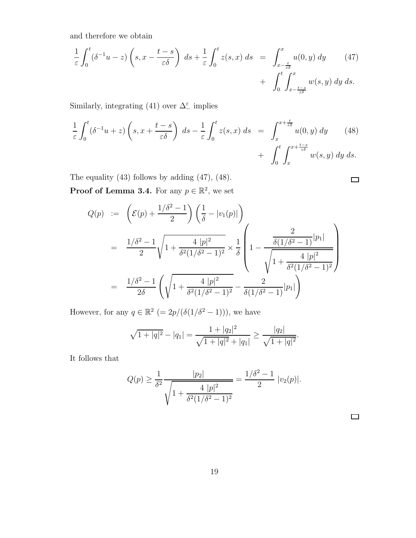and therefore we obtain

$$
\frac{1}{\varepsilon} \int_0^t (\delta^{-1}u - z) \left( s, x - \frac{t - s}{\varepsilon \delta} \right) ds + \frac{1}{\varepsilon} \int_0^t z(s, x) ds = \int_{x - \frac{t}{\varepsilon \delta}}^x u(0, y) dy \qquad (47)
$$

$$
+ \int_0^t \int_{x - \frac{t - s}{\varepsilon \delta}}^x w(s, y) dy ds.
$$

Similarly, integrating (41) over  $\Delta_{-}^{\varepsilon}$  implies

$$
\frac{1}{\varepsilon} \int_0^t (\delta^{-1} u + z) \left( s, x + \frac{t - s}{\varepsilon \delta} \right) ds - \frac{1}{\varepsilon} \int_0^t z(s, x) ds = \int_x^{x + \frac{t}{\varepsilon \delta}} u(0, y) dy \qquad (48)
$$

$$
+ \int_0^t \int_x^{x + \frac{t - s}{\varepsilon \delta}} w(s, y) dy ds.
$$

The equality (43) follows by adding (47), (48).

**Proof of Lemma 3.4.** For any  $p \in \mathbb{R}^2$ , we set

$$
Q(p) := \left( \mathcal{E}(p) + \frac{1/\delta^2 - 1}{2} \right) \left( \frac{1}{\delta} - |v_1(p)| \right)
$$
  
= 
$$
\frac{1/\delta^2 - 1}{2} \sqrt{1 + \frac{4 |p|^2}{\delta^2 (1/\delta^2 - 1)^2}} \times \frac{1}{\delta} \left( 1 - \frac{\frac{2}{\delta (1/\delta^2 - 1)} |p_1|}{\sqrt{1 + \frac{4 |p|^2}{\delta^2 (1/\delta^2 - 1)^2}}} \right)
$$
  
= 
$$
\frac{1/\delta^2 - 1}{2\delta} \left( \sqrt{1 + \frac{4 |p|^2}{\delta^2 (1/\delta^2 - 1)^2}} - \frac{2}{\delta (1/\delta^2 - 1)} |p_1| \right)
$$

However, for any  $q \in \mathbb{R}^2$  (=  $2p/(\delta(1/\delta^2 - 1))$ ), we have

$$
\sqrt{1+|q|^2}-|q_1|=\frac{1+|q_2|^2}{\sqrt{1+|q|^2}+|q_1|}\geq \frac{|q_2|}{\sqrt{1+|q|^2}}.
$$

It follows that

$$
Q(p) \ge \frac{1}{\delta^2} \frac{|p_2|}{\sqrt{1 + \frac{4 |p|^2}{\delta^2 (1/\delta^2 - 1)^2}}} = \frac{1/\delta^2 - 1}{2} |v_2(p)|.
$$

 $\Box$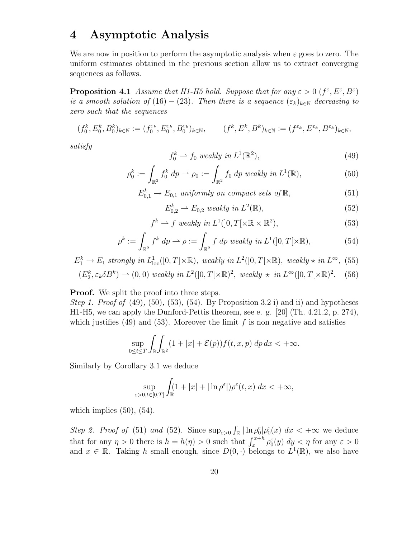# 4 Asymptotic Analysis

We are now in position to perform the asymptotic analysis when  $\varepsilon$  goes to zero. The uniform estimates obtained in the previous section allow us to extract converging sequences as follows.

**Proposition 4.1** Assume that H1-H5 hold. Suppose that for any  $\varepsilon > 0$  ( $f^{\varepsilon}, E^{\varepsilon}, B^{\varepsilon}$ ) is a smooth solution of (16) – (23). Then there is a sequence  $(\varepsilon_k)_{k\in\mathbb{N}}$  decreasing to zero such that the sequences

$$
(f_0^k, E_0^k, B_0^k)_{k \in \mathbb{N}} := (f_0^{\varepsilon_k}, E_0^{\varepsilon_k}, B_0^{\varepsilon_k})_{k \in \mathbb{N}}, \qquad (f^k, E^k, B^k)_{k \in \mathbb{N}} := (f^{\varepsilon_k}, E^{\varepsilon_k}, B^{\varepsilon_k})_{k \in \mathbb{N}},
$$

satisfy

$$
f_0^k \rightharpoonup f_0 \ weakly \ in \ L^1(\mathbb{R}^2),\tag{49}
$$

$$
\rho_0^k := \int_{\mathbb{R}^2} f_0^k \, dp \rightharpoonup \rho_0 := \int_{\mathbb{R}^2} f_0 \, dp \, weakly \, in \, L^1(\mathbb{R}), \tag{50}
$$

$$
E_{0,1}^k \to E_{0,1} \text{ uniformly on compact sets of } \mathbb{R},\tag{51}
$$

$$
E_{0,2}^k \rightharpoonup E_{0,2} \ weakly \ in \ L^2(\mathbb{R}), \tag{52}
$$

$$
f^k \rightharpoonup f \ weakly \ in \ L^1(]0, T[\times \mathbb{R} \times \mathbb{R}^2), \tag{53}
$$

$$
\rho^k := \int_{\mathbb{R}^2} f^k \, dp \rightharpoonup \rho := \int_{\mathbb{R}^2} f \, dp \, weakly \, in \, L^1(]0, T[\times \mathbb{R}), \tag{54}
$$

$$
E_1^k \to E_1 \text{ strongly in } L^1_{loc}([0,T] \times \mathbb{R}), \text{ weakly in } L^2([0,T] \times \mathbb{R}), \text{ weakly } \star \text{ in } L^{\infty}, \text{ (55)}
$$

$$
(E_2^k, \varepsilon_k \delta B^k) \rightharpoonup (0, 0) \ weakly in L^2([0, T[\times \mathbb{R})^2, weakly \star in L^{\infty}([0, T[\times \mathbb{R})^2. (56)
$$

**Proof.** We split the proof into three steps.

*Step 1. Proof of* (49), (50), (53), (54). By Proposition 3.2 i) and ii) and hypotheses H1-H5, we can apply the Dunford-Pettis theorem, see e. g. [20] (Th. 4.21.2, p. 274), which justifies (49) and (53). Moreover the limit  $f$  is non negative and satisfies

$$
\sup_{0\leq t\leq T}\int_{\mathbb{R}}\int_{\mathbb{R}^2}(1+|x|+\mathcal{E}(p))f(t,x,p)\,dp\,dx<+\infty.
$$

Similarly by Corollary 3.1 we deduce

$$
\sup_{\varepsilon>0,t\in[0,T]}\int_{\mathbb{R}}(1+|x|+|\ln\rho^{\varepsilon}|)\rho^{\varepsilon}(t,x)\;dx<+\infty,
$$

which implies  $(50)$ ,  $(54)$ .

Step 2. Proof of (51) and (52). Since  $\sup_{\varepsilon>0} \int_{\mathbb{R}} |\ln \rho_0^{\varepsilon}| \rho_0^{\varepsilon}(x) dx < +\infty$  we deduce that for any  $\eta > 0$  there is  $h = h(\eta) > 0$  such that  $\int_x^{x+h} \rho_0^{\varepsilon}(y) dy < \eta$  for any  $\varepsilon > 0$ and  $x \in \mathbb{R}$ . Taking h small enough, since  $D(0, \cdot)$  belongs to  $L^1(\mathbb{R})$ , we also have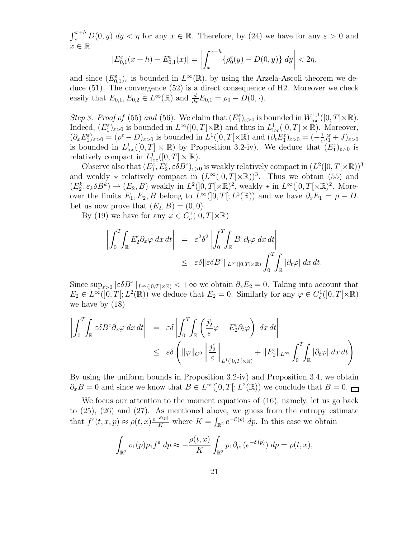$\int_x^{x+h} D(0, y) dy < \eta$  for any  $x \in \mathbb{R}$ . Therefore, by (24) we have for any  $\varepsilon > 0$  and  $x \in \mathbb{R}$ 

$$
|E_{0,1}^{\varepsilon}(x+h) - E_{0,1}^{\varepsilon}(x)| = \left| \int_{x}^{x+h} \{ \rho_0^{\varepsilon}(y) - D(0,y) \} dy \right| < 2\eta,
$$

and since  $(E_{0,1}^{\varepsilon})_{\varepsilon}$  is bounded in  $L^{\infty}(\mathbb{R})$ , by using the Arzela-Ascoli theorem we deduce (51). The convergence (52) is a direct consequence of H2. Moreover we check easily that  $E_{0,1}, E_{0,2} \in L^{\infty}(\mathbb{R})$  and  $\frac{d}{dx} E_{0,1} = \rho_0 - D(0, \cdot)$ .

Step 3. Proof of (55) and (56). We claim that  $(E_1^{\varepsilon})_{\varepsilon>0}$  is bounded in  $W^{1,1}_{loc}([0,T]\times\mathbb{R})$ . Indeed,  $(E_1^{\varepsilon})_{\varepsilon>0}$  is bounded in  $L^{\infty}(]0,T[\times \mathbb{R})$  and thus in  $L^1_{loc}([0,T] \times \mathbb{R})$ . Moreover,  $(\partial_x E_1^{\varepsilon})_{\varepsilon>0} = (\rho^{\varepsilon} - D)_{\varepsilon>0}$  is bounded in  $L^1(]0,T[ \times \mathbb{R})$  and  $(\partial_t E_1^{\varepsilon})_{\varepsilon>0} = (-\frac{1}{\varepsilon})$  $\frac{1}{\varepsilon}j_1^\varepsilon+J)_{\varepsilon>0}$ is bounded in  $L^1_{loc}([0,T]\times\mathbb{R})$  by Proposition 3.2-iv). We deduce that  $(E_1^{\varepsilon})_{\varepsilon>0}$  is relatively compact in  $L^1_{loc}([0,T] \times \mathbb{R})$ .

Observe also that  $(E_1^{\varepsilon}, E_2^{\varepsilon}, \varepsilon \delta B^{\varepsilon})_{\varepsilon>0}$  is weakly relatively compact in  $(L^2([0, T[ \times \mathbb{R}))^3)$ and weakly  $\star$  relatively compact in  $(L^{\infty}(]0,T[\times \mathbb{R}))^3$ . Thus we obtain (55) and  $(E_2^k, \varepsilon_k \delta B^k) \to (E_2, B)$  weakly in  $L^2([0, T[ \times \mathbb{R})^2]$ , weakly  $\star$  in  $L^{\infty}([0, T[ \times \mathbb{R})^2]$ . Moreover the limits  $E_1, E_2, B$  belong to  $L^{\infty}(]0, T[; L^2(\mathbb{R}))$  and we have  $\partial_x E_1 = \rho - D$ . Let us now prove that  $(E_2, B) = (0, 0)$ .

By (19) we have for any  $\varphi \in C_c^1(]0,T[ \times \mathbb{R})$ 

$$
\left| \int_0^T \int_{\mathbb{R}} E_2^{\varepsilon} \partial_x \varphi \, dx \, dt \right| = \varepsilon^2 \delta^2 \left| \int_0^T \int_{\mathbb{R}} B^{\varepsilon} \partial_t \varphi \, dx \, dt \right|
$$
  

$$
\leq \varepsilon \delta \| \varepsilon \delta B^{\varepsilon} \|_{L^{\infty}(]0,T[ \times \mathbb{R})} \int_0^T \int_{\mathbb{R}} |\partial_t \varphi| \, dx \, dt.
$$

Since  $\sup_{\varepsilon>0}||\varepsilon\delta B^{\varepsilon}||_{L^{\infty}(0,T]\times\mathbb{R}} < +\infty$  we obtain  $\partial_x E_2 = 0$ . Taking into account that  $E_2 \in L^{\infty}(]0,T[;L^2(\mathbb{R}))$  we deduce that  $E_2 = 0$ . Similarly for any  $\varphi \in C_c^1(]0,T[ \times \mathbb{R})$ we have by (18)

$$
\left| \int_0^T \int_{\mathbb{R}} \varepsilon \delta B^{\varepsilon} \partial_x \varphi \, dx \, dt \right| = \varepsilon \delta \left| \int_0^T \int_{\mathbb{R}} \left( \frac{j_2^{\varepsilon}}{\varepsilon} \varphi - E_2^{\varepsilon} \partial_t \varphi \right) \, dx \, dt \right|
$$
  

$$
\leq \varepsilon \delta \left( \| \varphi \|_{C^0} \left\| \frac{j_2^{\varepsilon}}{\varepsilon} \right\|_{L^1([0, T[ \times \mathbb{R})]} + \| E_2^{\varepsilon} \|_{L^{\infty}} \int_0^T \int_{\mathbb{R}} |\partial_t \varphi| \, dx \, dt \right).
$$

By using the uniform bounds in Proposition 3.2-iv) and Proposition 3.4, we obtain  $\partial_x B = 0$  and since we know that  $B \in L^{\infty}(]0, T[; L^2(\mathbb{R}))$  we conclude that  $B = 0$ .

We focus our attention to the moment equations of (16); namely, let us go back to (25), (26) and (27). As mentioned above, we guess from the entropy estimate that  $f^{\varepsilon}(t, x, p) \approx \rho(t, x) \frac{e^{-\mathcal{E}(p)}}{K}$  where  $K = \int_{\mathbb{R}^2} e^{-\mathcal{E}(p)} dp$ . In this case we obtain

$$
\int_{\mathbb{R}^2} v_1(p) p_1 f^{\varepsilon} dp \approx -\frac{\rho(t, x)}{K} \int_{\mathbb{R}^2} p_1 \partial_{p_1}(e^{-\mathcal{E}(p)}) dp = \rho(t, x),
$$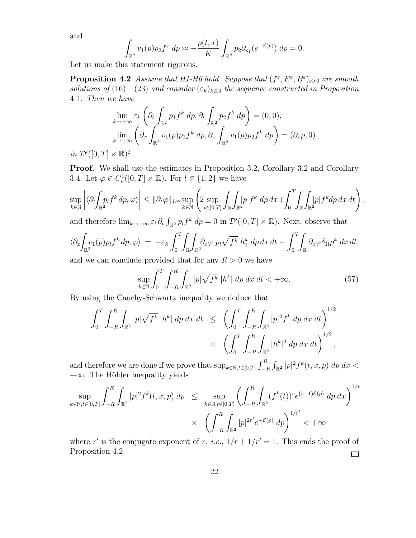and

$$
\int_{\mathbb{R}^2} v_1(p) p_2 f^{\varepsilon} dp \approx -\frac{\rho(t, x)}{K} \int_{\mathbb{R}^2} p_2 \partial_{p_1}(e^{-\mathcal{E}(p)}) dp = 0.
$$

Let us make this statement rigorous.

**Proposition 4.2** Assume that H1-H6 hold. Suppose that  $(f^{\varepsilon}, E^{\varepsilon}, B^{\varepsilon})_{\varepsilon>0}$  are smooth solutions of (16) – (23) and consider  $(\varepsilon_k)_{k\in\mathbb{N}}$  the sequence constructed in Proposition 4.1. Then we have

$$
\lim_{k \to +\infty} \varepsilon_k \left( \partial_t \int_{\mathbb{R}^2} p_1 f^k \, dp, \partial_t \int_{\mathbb{R}^2} p_2 f^k \, dp \right) = (0, 0),
$$
\n
$$
\lim_{k \to +\infty} \left( \partial_x \int_{\mathbb{R}^2} v_1(p) p_1 f^k \, dp, \partial_x \int_{\mathbb{R}^2} v_1(p) p_2 f^k \, dp \right) = (\partial_x \rho, 0)
$$

in  $\mathcal{D}'([0,T] \times \mathbb{R})^2$ .

Proof. We shall use the estimates in Proposition 3.2, Corollary 3.2 and Corollary 3.4. Let  $\varphi \in C_c^1([0, T] \times \mathbb{R})$ . For  $l \in \{1, 2\}$  we have

$$
\sup_{k\in\mathbb{N}}\left|\langle\partial_t\!\!\int_{\mathbb{R}^2}\!\!p_l f^k\,dp,\varphi\rangle\right|\leq\|\partial_t\varphi\|_{L^\infty}\sup_{k\in\mathbb{N}}\left(2\sup_{t\in[0,T]}\int_{\mathbb{R}}\!\!\int_{\mathbb{R}^2}\!\!|p| f^k\,dp\,dx+\!\!\int_0^T\!\!\int_{\mathbb{R}}\!\!\int_{\mathbb{R}^2}\!\!|p| f^kdp\,dx\,dt\right),
$$

and therefore  $\lim_{k\to+\infty} \varepsilon_k \partial_t \int_{\mathbb{R}^2} p_l f^k dp = 0$  in  $\mathcal{D}'([0,T] \times \mathbb{R})$ . Next, observe that

$$
\langle \partial_x \int_{\mathbb{R}^2} v_1(p) p_l f^k dp, \varphi \rangle = -\varepsilon_k \int_0^T \int_{\mathbb{R}} \int_{\mathbb{R}^2} \partial_x \varphi \, p_l \sqrt{f^k} \, h_1^k dp \, dx \, dt - \int_0^T \int_{\mathbb{R}} \partial_x \varphi \delta_{1l} \rho^k dx \, dt,
$$

and we can conclude provided that for any  $R > 0$  we have

$$
\sup_{k \in \mathbb{N}} \int_0^T \int_{-R}^R \int_{\mathbb{R}^2} |p| \sqrt{f^k} |h^k| dp dx dt < +\infty.
$$
 (57)

By using the Cauchy-Schwartz inequality we deduce that

$$
\int_0^T \int_{-R}^R \int_{\mathbb{R}^2} |p| \sqrt{f^k} |h^k| dp dx dt \le \left( \int_0^T \int_{-R}^R \int_{\mathbb{R}^2} |p|^2 f^k dp dx dt \right)^{1/2} \times \left( \int_0^T \int_{-R}^R \int_{\mathbb{R}^2} |h^k|^2 dp dx dt \right)^{1/2},
$$

and therefore we are done if we prove that  $\sup_{k \in \mathbb{N}, t \in [0,T]} \int_{-R}^{R} \int_{\mathbb{R}^2} |p|^2 f^k(t, x, p) dp dx$  $+\infty$ . The Hölder inequality yields

$$
\sup_{k \in \mathbb{N}, t \in [0,T]} \int_{-R}^{R} \int_{\mathbb{R}^2} |p|^2 f^k(t, x, p) \, dp \le \sup_{k \in \mathbb{N}, t \in [0,T]} \left( \int_{-R}^{R} \int_{\mathbb{R}^2} (f^k(t))^r e^{(r-1)\mathcal{E}(p)} \, dp \, dx \right)^{1/r}
$$
\n
$$
\times \left( \int_{-R}^{R} \int_{\mathbb{R}^2} |p|^{2r'} e^{-\mathcal{E}(p)} \, dp \right)^{1/r'} < +\infty
$$

where r' is the conjugate exponent of r, *i.e.*,  $1/r + 1/r' = 1$ . This ends the proof of Proposition 4.2  $\Box$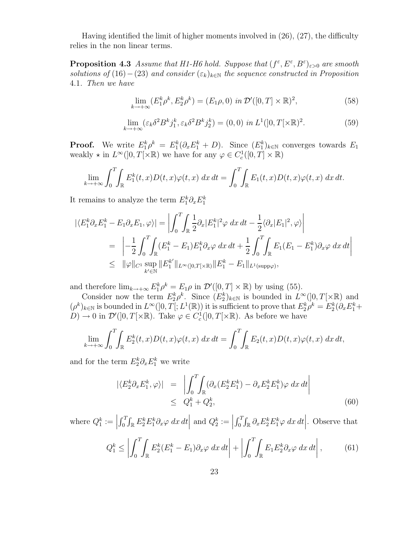Having identified the limit of higher moments involved in (26), (27), the difficulty relies in the non linear terms.

**Proposition 4.3** Assume that H1-H6 hold. Suppose that  $(f^{\varepsilon}, E^{\varepsilon}, B^{\varepsilon})_{\varepsilon>0}$  are smooth solutions of (16) – (23) and consider  $(\varepsilon_k)_{k\in\mathbb{N}}$  the sequence constructed in Proposition 4.1. Then we have

$$
\lim_{k \to +\infty} (E_1^k \rho^k, E_2^k \rho^k) = (E_1 \rho, 0) \text{ in } \mathcal{D}'([0, T] \times \mathbb{R})^2,
$$
\n(58)

$$
\lim_{k \to +\infty} (\varepsilon_k \delta^2 B^k j_1^k, \varepsilon_k \delta^2 B^k j_2^k) = (0, 0) \text{ in } L^1(]0, T[\times \mathbb{R})^2. \tag{59}
$$

**Proof.** We write  $E_1^k \rho^k = E_1^k (\partial_x E_1^k + D)$ . Since  $(E_1^k)_{k \in \mathbb{N}}$  converges towards  $E_1$ weakly  $\star$  in  $L^{\infty}(]0,T[\times \mathbb{R})$  we have for any  $\varphi \in C_c^1([0,T] \times \mathbb{R})$ 

$$
\lim_{k \to +\infty} \int_0^T \int_{\mathbb{R}} E_1^k(t, x) D(t, x) \varphi(t, x) dx dt = \int_0^T \int_{\mathbb{R}} E_1(t, x) D(t, x) \varphi(t, x) dx dt.
$$

It remains to analyze the term  $E_1^k \partial_x E_1^k$ 

$$
\begin{split} |\langle E_1^k \partial_x E_1^k - E_1 \partial_x E_1, \varphi \rangle| &= \left| \int_0^T \!\! \int_{\mathbb{R}} \frac{1}{2} \partial_x |E_1^k|^2 \varphi \, dx \, dt - \frac{1}{2} \langle \partial_x |E_1|^2, \varphi \rangle \right| \\ &= \left| -\frac{1}{2} \int_0^T \!\! \int_{\mathbb{R}} (E_1^k - E_1) E_1^k \partial_x \varphi \, dx \, dt + \frac{1}{2} \int_0^T \!\! \int_{\mathbb{R}} E_1 (E_1 - E_1^k) \partial_x \varphi \, dx \, dt \right| \\ &\leq \|\varphi\|_{C^1} \sup_{k' \in \mathbb{N}} \|E_1^{k'}\|_{L^\infty([0, T[ \times \mathbb{R})]} \|E_1^k - E_1\|_{L^1(\text{supp}\varphi)}, \end{split}
$$

and therefore  $\lim_{k \to +\infty} E_1^k \rho^k = E_1 \rho$  in  $\mathcal{D}'([0,T] \times \mathbb{R})$  by using (55).

Consider now the term  $E_2^k \rho^k$ . Since  $(E_2^k)_{k \in \mathbb{N}}$  is bounded in  $L^{\infty}(]0,T[\times \mathbb{R})$  and  $(\rho^k)_{k\in\mathbb{N}}$  is bounded in  $L^{\infty}(]0,T[;L^1(\mathbb{R}))$  it is sufficient to prove that  $E_2^k\rho^k = E_2^k(\partial_x E_1^k +$  $(D) \to 0$  in  $\mathcal{D}'(]0,T[\times\mathbb{R})$ . Take  $\varphi \in C_c^1(]0,T[\times\mathbb{R})$ . As before we have

$$
\lim_{k \to +\infty} \int_0^T \int_{\mathbb{R}} E_2^k(t, x) D(t, x) \varphi(t, x) dx dt = \int_0^T \int_{\mathbb{R}} E_2(t, x) D(t, x) \varphi(t, x) dx dt,
$$

and for the term  $E_2^k \partial_x E_1^k$  we write

$$
|\langle E_2^k \partial_x E_1^k, \varphi \rangle| = \left| \int_0^T \int_{\mathbb{R}} (\partial_x (E_2^k E_1^k) - \partial_x E_2^k E_1^k) \varphi \, dx \, dt \right|
$$
  
 
$$
\leq Q_1^k + Q_2^k,
$$
 (60)

where  $Q_1^k :=$  $\int_0^T \int_{\mathbb{R}} E_2^k E_1^k \partial_x \varphi \, dx \, dt$ and  $Q_2^k :=$  $\int_0^T \int_{\mathbb{R}} \partial_x E_2^k E_1^k \varphi \, dx \, dt$ . Observe that

$$
Q_1^k \le \left| \int_0^T \int_{\mathbb{R}} E_2^k (E_1^k - E_1) \partial_x \varphi \, dx \, dt \right| + \left| \int_0^T \int_{\mathbb{R}} E_1 E_2^k \partial_x \varphi \, dx \, dt \right|, \tag{61}
$$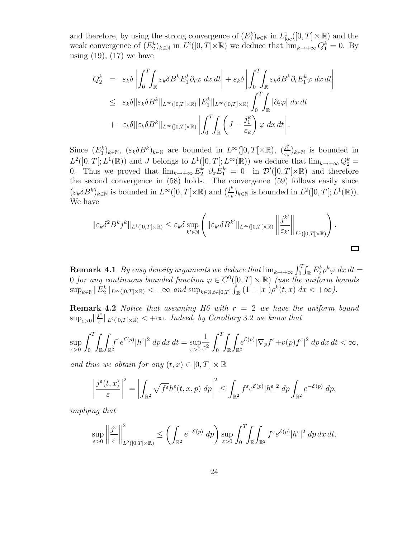and therefore, by using the strong convergence of  $(E_1^k)_{k \in \mathbb{N}}$  in  $L^1_{loc}([0,T] \times \mathbb{R})$  and the weak convergence of  $(E_2^k)_{k \in \mathbb{N}}$  in  $L^2(]0,T[\times \mathbb{R})$  we deduce that  $\lim_{k \to +\infty} Q_1^k = 0$ . By using  $(19)$ ,  $(17)$  we have

$$
Q_2^k = \varepsilon_k \delta \left| \int_0^T \int_{\mathbb{R}} \varepsilon_k \delta B^k E_1^k \partial_t \varphi \, dx \, dt \right| + \varepsilon_k \delta \left| \int_0^T \int_{\mathbb{R}} \varepsilon_k \delta B^k \partial_t E_1^k \varphi \, dx \, dt \right|
$$
  

$$
\leq \varepsilon_k \delta \|\varepsilon_k \delta B^k\|_{L^{\infty}(]0,T[ \times \mathbb{R})} \|E_1^k\|_{L^{\infty}(]0,T[ \times \mathbb{R})} \int_0^T \int_{\mathbb{R}} |\partial_t \varphi| \, dx \, dt
$$
  

$$
+ \varepsilon_k \delta \|\varepsilon_k \delta B^k\|_{L^{\infty}(]0,T[ \times \mathbb{R})} \left| \int_0^T \int_{\mathbb{R}} \left( J - \frac{j_1^k}{\varepsilon_k} \right) \varphi \, dx \, dt \right|.
$$

Since  $(E_1^k)_{k\in\mathbb{N}}$ ,  $(\varepsilon_k \delta B^k)_{k\in\mathbb{N}}$  are bounded in  $L^{\infty}(]0,T[\times\mathbb{R})$ ,  $(\frac{j_1^k}{\varepsilon_k})_{k\in\mathbb{N}}$  is bounded in  $L^2(]0,T[;L^1(\mathbb{R}))$  and J belongs to  $L^1(]0,T[;L^{\infty}(\mathbb{R}))$  we deduce that  $\lim_{k\to+\infty}Q_2^k=$ 0. Thus we proved that  $\lim_{k \to +\infty} E_2^k$   $\partial_x E_1^k = 0$  in  $\mathcal{D}'(]0,T[ \times \mathbb{R})$  and therefore the second convergence in (58) holds. The convergence (59) follows easily since  $(\varepsilon_k \delta B^k)_{k \in \mathbb{N}}$  is bounded in  $L^{\infty}(]0,T[\times \mathbb{R})$  and  $(\frac{j^k}{\varepsilon_k})$  $\frac{j^k}{\varepsilon_k}$ <sub>k∈N</sub> is bounded in  $L^2(]0,T[;L^1(\mathbb{R})).$ We have

$$
\|\varepsilon_k \delta^2 B^k j^k\|_{L^1([0,T[\times \mathbb{R})]} \leq \varepsilon_k \delta \sup_{k' \in \mathbb{N}} \left( \|\varepsilon_{k'} \delta B^{k'}\|_{L^\infty([0,T[\times \mathbb{R})]} \left\| \frac{j^{k'}}{\varepsilon_{k'}} \right\|_{L^1([0,T[\times \mathbb{R})})} \right).
$$

**Remark 4.1** By easy density arguments we deduce that  $\lim_{k\to+\infty} \int_0^T \int_{\mathbb{R}} E_2^k \rho^k \varphi \, dx \, dt =$ 0 for any continuous bounded function  $\varphi \in C^0([0,T] \times \mathbb{R})$  (use the uniform bounds  $\sup_{k\in\mathbb{N}}||E_2^k||_{L^\infty(]0,T[\times\mathbb{R})}<+\infty$  and  $\sup_{k\in\mathbb{N},t\in[0,T]}\int_{\mathbb{R}}(1+|x|)\rho^k(t,x)\,dx<+\infty$ ).

**Remark 4.2** Notice that assuming H6 with  $r = 2$  we have the uniform bound  $\sup_{\varepsilon>0} \|\frac{j^{\varepsilon}}{\varepsilon}$  $\sum_{\varepsilon=0}^{\infty}$   $\|_{L^2([0,T[\times \mathbb{R})]} < +\infty$ . Indeed, by Corollary 3.2 we know that

$$
\sup_{\varepsilon>0}\int_0^T\!\!\int_{\mathbb{R}}\!\!\int_{\mathbb{R}^2}\!\!\!f^\varepsilon e^{\mathcal{E}(p)}|h^\varepsilon|^2\;dp\,dx\,dt=\sup_{\varepsilon>0}\frac{1}{\varepsilon^2}\int_0^T\!\!\int_{\mathbb{R}}\!\!\int_{\mathbb{R}^2}\!\!\!e^{\mathcal{E}(p)}|\nabla_p f^\varepsilon\!+\!v(p)f^\varepsilon|^2\;dp\,dx\,dt<\infty,
$$

and thus we obtain for any  $(t, x) \in [0, T] \times \mathbb{R}$ 

$$
\left|\frac{j^{\varepsilon}(t,x)}{\varepsilon}\right|^2 = \left|\int_{\mathbb{R}^2} \sqrt{f^{\varepsilon}} h^{\varepsilon}(t,x,p) \, dp\right|^2 \le \int_{\mathbb{R}^2} f^{\varepsilon} e^{\mathcal{E}(p)} |h^{\varepsilon}|^2 \, dp \int_{\mathbb{R}^2} e^{-\mathcal{E}(p)} \, dp,
$$

implying that

$$
\sup_{\varepsilon>0}\left\|\frac{j^{\varepsilon}}{\varepsilon}\right\|_{L^2(]0,T[ \times \mathbb{R})}^2 \leq \left(\int_{\mathbb{R}^2} e^{-\mathcal{E}(p)} dp\right) \sup_{\varepsilon>0} \int_0^T \int_{\mathbb{R}} \int_{\mathbb{R}^2} f^{\varepsilon} e^{\mathcal{E}(p)} |h^{\varepsilon}|^2 dp dx dt.
$$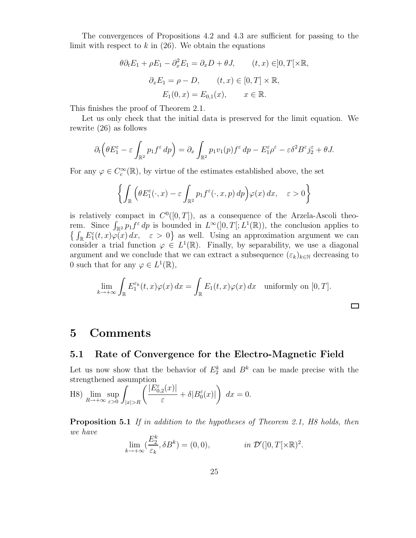The convergences of Propositions 4.2 and 4.3 are sufficient for passing to the limit with respect to  $k$  in (26). We obtain the equations

$$
\theta \partial_t E_1 + \rho E_1 - \partial_x^2 E_1 = \partial_x D + \theta J, \qquad (t, x) \in ]0, T[ \times \mathbb{R},
$$
  

$$
\partial_x E_1 = \rho - D, \qquad (t, x) \in [0, T] \times \mathbb{R},
$$
  

$$
E_1(0, x) = E_{0,1}(x), \qquad x \in \mathbb{R}.
$$

This finishes the proof of Theorem 2.1.

Let us only check that the initial data is preserved for the limit equation. We rewrite (26) as follows

$$
\partial_t \left( \theta E_1^{\varepsilon} - \varepsilon \int_{\mathbb{R}^2} p_1 f^{\varepsilon} dp \right) = \partial_x \int_{\mathbb{R}^2} p_1 v_1(p) f^{\varepsilon} dp - E_1^{\varepsilon} \rho^{\varepsilon} - \varepsilon \delta^2 B^{\varepsilon} j_2^{\varepsilon} + \theta J.
$$

For any  $\varphi \in C_c^{\infty}(\mathbb{R})$ , by virtue of the estimates established above, the set

$$
\left\{ \int_{\mathbb{R}} \left( \theta E_1^{\varepsilon}(\cdot, x) - \varepsilon \int_{\mathbb{R}^2} p_1 f^{\varepsilon}(\cdot, x, p) \, dp \right) \varphi(x) \, dx, \quad \varepsilon > 0 \right\}
$$

is relatively compact in  $C^0([0,T])$ , as a consequence of the Arzela-Ascoli theorem. Since  $\int_{\mathbb{R}^2} p_1 f^{\varepsilon} dp$  is bounded in  $L^{\infty}(]0,T[; L^1(\mathbb{R}))$ , the conclusion applies to  $\left\{\int_{\mathbb{R}} E_1^{\varepsilon}(t,x)\varphi(x)\,dx,\quad \varepsilon > 0\right\}$  as well. Using an approximation argument we can consider a trial function  $\varphi \in L^1(\mathbb{R})$ . Finally, by separability, we use a diagonal argument and we conclude that we can extract a subsequence  $(\varepsilon_k)_{k\in\mathbb{N}}$  decreasing to 0 such that for any  $\varphi \in L^1(\mathbb{R}),$ 

$$
\lim_{k \to +\infty} \int_{\mathbb{R}} E_1^{\varepsilon_k}(t, x)\varphi(x) dx = \int_{\mathbb{R}} E_1(t, x)\varphi(x) dx \text{ uniformly on } [0, T].
$$

 $\Box$ 

# 5 Comments

### 5.1 Rate of Convergence for the Electro-Magnetic Field

Let us now show that the behavior of  $E_2^k$  and  $B^k$  can be made precise with the strengthened assumption

H8) 
$$
\lim_{R \to +\infty} \sup_{\varepsilon > 0} \int_{|x| > R} \left( \frac{|E_{0,2}^{\varepsilon}(x)|}{\varepsilon} + \delta |B_0^{\varepsilon}(x)| \right) dx = 0.
$$

Proposition 5.1 If in addition to the hypotheses of Theorem 2.1, H8 holds, then we have  $E_{\mathbf{k}}$ 

$$
\lim_{k \to +\infty} \left( \frac{E_2^{\kappa}}{\varepsilon_k}, \delta B^k \right) = (0, 0), \qquad \text{in } \mathcal{D}'(]0, T[\times \mathbb{R})^2.
$$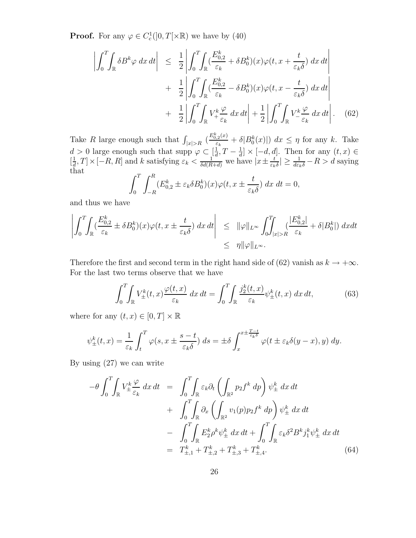**Proof.** For any  $\varphi \in C_c^1(]0,T[ \times \mathbb{R})$  we have by (40)

$$
\left| \int_{0}^{T} \int_{\mathbb{R}} \delta B^{k} \varphi \, dx \, dt \right| \leq \frac{1}{2} \left| \int_{0}^{T} \int_{\mathbb{R}} (\frac{E_{0,2}^{k}}{\varepsilon_{k}} + \delta B_{0}^{k})(x) \varphi(t, x + \frac{t}{\varepsilon_{k} \delta}) \, dx \, dt \right|
$$

$$
+ \frac{1}{2} \left| \int_{0}^{T} \int_{\mathbb{R}} (\frac{E_{0,2}^{k}}{\varepsilon_{k}} - \delta B_{0}^{k})(x) \varphi(t, x - \frac{t}{\varepsilon_{k} \delta}) \, dx \, dt \right|
$$

$$
+ \frac{1}{2} \left| \int_{0}^{T} \int_{\mathbb{R}} V_{+}^{k} \frac{\varphi}{\varepsilon_{k}} \, dx \, dt \right| + \frac{1}{2} \left| \int_{0}^{T} \int_{\mathbb{R}} V_{-}^{k} \frac{\varphi}{\varepsilon_{k}} \, dx \, dt \right|.
$$
 (62)

Take R large enough such that  $\int_{|x|>R} \left(\frac{E_{0,2}^k(x)}{\varepsilon_k}\right)$  $\frac{f_{k}(x)}{\varepsilon_k} + \delta |B_0^k(x)| \leq d\tau \leq \eta$  for any k. Take  $d > 0$  large enough such that supp  $\varphi \subset \left[\frac{1}{d}\right]$  $\frac{1}{d}$ ,  $T-\frac{1}{d}$  $\frac{1}{d} \times [-d, d]$ . Then for any  $(t, x) \in$  $\left[\frac{1}{d}\right]$  $\frac{1}{d}$ , T × [-R, R] and k satisfying  $\varepsilon_k < \frac{1}{\delta d(R+d)}$  we have  $|x \pm \frac{t}{\varepsilon_k}|$  $\frac{t}{\varepsilon_k \delta}$   $\geq \frac{1}{d\varepsilon_k \delta} - R > d$  saying that

$$
\int_0^T \int_{-R}^R (E_{0,2}^k \pm \varepsilon_k \delta B_0^k)(x) \varphi(t, x \pm \frac{t}{\varepsilon_k \delta}) \, dx \, dt = 0,
$$

and thus we have

$$
\left| \int_0^T \int_{\mathbb{R}} \left( \frac{E_{0,2}^k}{\varepsilon_k} \pm \delta B_0^k \right)(x) \varphi(t, x \pm \frac{t}{\varepsilon_k \delta}) dx dt \right| \leq ||\varphi||_{L^{\infty}} \int_0^T \int_{|x| > R} \left( \frac{|E_{0,2}^k|}{\varepsilon_k} + \delta |B_0^k| \right) dx dt
$$
  

$$
\leq \eta ||\varphi||_{L^{\infty}}.
$$

Therefore the first and second term in the right hand side of (62) vanish as  $k \to +\infty$ . For the last two terms observe that we have

$$
\int_0^T \int_{\mathbb{R}} V_{\pm}^k(t, x) \frac{\varphi(t, x)}{\varepsilon_k} dx dt = \int_0^T \int_{\mathbb{R}} \frac{j_2^k(t, x)}{\varepsilon_k} \psi_{\pm}^k(t, x) dx dt, \tag{63}
$$

where for any  $(t, x) \in [0, T] \times \mathbb{R}$ 

$$
\psi_{\pm}^k(t,x) = \frac{1}{\varepsilon_k} \int_t^T \varphi(s, x \pm \frac{s-t}{\varepsilon_k \delta}) ds = \pm \delta \int_x^{x \pm \frac{T-t}{\varepsilon_k \delta}} \varphi(t \pm \varepsilon_k \delta(y-x), y) dy.
$$

By using (27) we can write

$$
-\theta \int_0^T \int_{\mathbb{R}} V_{\pm}^k \frac{\varphi}{\varepsilon_k} dx dt = \int_0^T \int_{\mathbb{R}} \varepsilon_k \partial_t \left( \int_{\mathbb{R}^2} p_2 f^k dp \right) \psi_{\pm}^k dx dt + \int_0^T \int_{\mathbb{R}} \partial_x \left( \int_{\mathbb{R}^2} v_1(p) p_2 f^k dp \right) \psi_{\pm}^k dx dt - \int_0^T \int_{\mathbb{R}} E_2^k \rho^k \psi_{\pm}^k dx dt + \int_0^T \int_{\mathbb{R}} \varepsilon_k \delta^2 B^k j_1^k \psi_{\pm}^k dx dt = T_{\pm,1}^k + T_{\pm,2}^k + T_{\pm,3}^k + T_{\pm,4}^k. \tag{64}
$$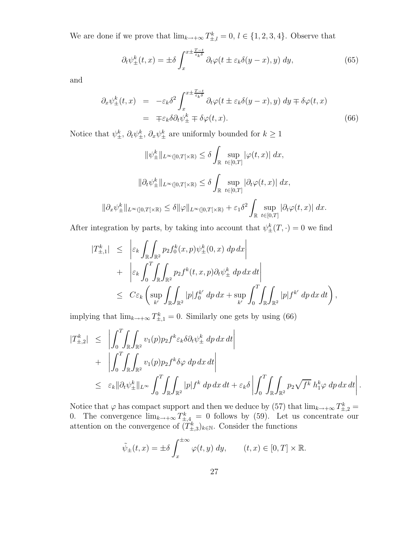We are done if we prove that  $\lim_{k \to +\infty} T_{\pm,l}^k = 0, l \in \{1, 2, 3, 4\}$ . Observe that

$$
\partial_t \psi^k_{\pm}(t,x) = \pm \delta \int_x^{x \pm \frac{T-t}{\varepsilon_k \delta}} \partial_t \varphi(t \pm \varepsilon_k \delta(y-x), y) \, dy,\tag{65}
$$

and

$$
\partial_x \psi_{\pm}^k(t, x) = -\varepsilon_k \delta^2 \int_x^{x \pm \frac{T - t}{\varepsilon_k \delta}} \partial_t \varphi(t \pm \varepsilon_k \delta(y - x), y) dy \mp \delta \varphi(t, x) \n= \mp \varepsilon_k \delta \partial_t \psi_{\pm}^k \mp \delta \varphi(t, x).
$$
\n(66)

Notice that  $\psi_{\pm}^k$ ,  $\partial_t \psi_{\pm}^k$ ,  $\partial_x \psi_{\pm}^k$  are uniformly bounded for  $k \geq 1$ 

$$
\|\psi_{\pm}^{k}\|_{L^{\infty}(]0,T[\times\mathbb{R})} \leq \delta \int_{\mathbb{R}} \sup_{t \in [0,T]} |\varphi(t,x)| dx,
$$
  

$$
\|\partial_t \psi_{\pm}^{k}\|_{L^{\infty}(]0,T[\times\mathbb{R})} \leq \delta \int_{\mathbb{R}} \sup_{t \in [0,T]} |\partial_t \varphi(t,x)| dx,
$$
  

$$
\|\partial_x \psi_{\pm}^{k}\|_{L^{\infty}(]0,T[\times\mathbb{R})} \leq \delta \|\varphi\|_{L^{\infty}(]0,T[\times\mathbb{R})} + \varepsilon_1 \delta^2 \int_{\mathbb{R}} \sup_{t \in [0,T]} |\partial_t \varphi(t,x)| dx.
$$

After integration by parts, by taking into account that  $\psi_{\pm}^{k}(T, \cdot) = 0$  we find

$$
\begin{array}{lcl} |T_{\pm,1}^k| & \leq & \left| \varepsilon_k \int_{\mathbb{R}} \int_{\mathbb{R}^2} p_2 f_0^k(x,p) \psi_{\pm}^k(0,x) \, dp \, dx \right| \\ & + & \left| \varepsilon_k \int_0^T \int_{\mathbb{R}} \int_{\mathbb{R}^2} p_2 f^k(t,x,p) \partial_t \psi_{\pm}^k \, dp \, dx \, dt \right| \\ & \leq & C \varepsilon_k \left( \sup_{k'} \int_{\mathbb{R}} \int_{\mathbb{R}^2} |p| f_0^{k'} \, dp \, dx + \sup_{k'} \int_0^T \int_{\mathbb{R}} \int_{\mathbb{R}^2} |p| f^{k'} \, dp \, dx \, dt \right), \end{array}
$$

implying that  $\lim_{k \to +\infty} T_{\pm,1}^k = 0$ . Similarly one gets by using (66)

$$
\begin{split}\n|T_{\pm,2}^k| &\leq \left| \int_0^T \!\!\int_{\mathbb{R}} \!\!\int_{\mathbb{R}^2} v_1(p) p_2 f^k \varepsilon_k \delta \partial_t \psi_{\pm}^k \, dp \, dx \, dt \right| \\
&\quad + \left| \int_0^T \!\!\int_{\mathbb{R}} \!\!\int_{\mathbb{R}^2} v_1(p) p_2 f^k \delta \varphi \, dp \, dx \, dt \right| \\
&\leq \varepsilon_k \| \partial_t \psi_{\pm}^k \|_{L^\infty} \int_0^T \!\!\int_{\mathbb{R}} \!\!\int_{\mathbb{R}^2} |p| f^k \, dp \, dx \, dt + \varepsilon_k \delta \left| \int_0^T \!\!\int_{\mathbb{R}} \!\!\int_{\mathbb{R}^2} p_2 \sqrt{f^k} \, h_1^k \varphi \, dp \, dx \, dt \right|. \n\end{split}
$$

Notice that  $\varphi$  has compact support and then we deduce by (57) that  $\lim_{k\to+\infty} T^k_{\pm,2} =$ 0. The convergence  $\lim_{k\to+\infty} T_{\pm,4}^k = 0$  follows by (59). Let us concentrate our attention on the convergence of  $(T_{\pm,3}^k)_{k \in \mathbb{N}}$ . Consider the functions

$$
\tilde{\psi}_{\pm}(t,x) = \pm \delta \int_{x}^{\pm \infty} \varphi(t,y) \, dy, \qquad (t,x) \in [0,T] \times \mathbb{R}.
$$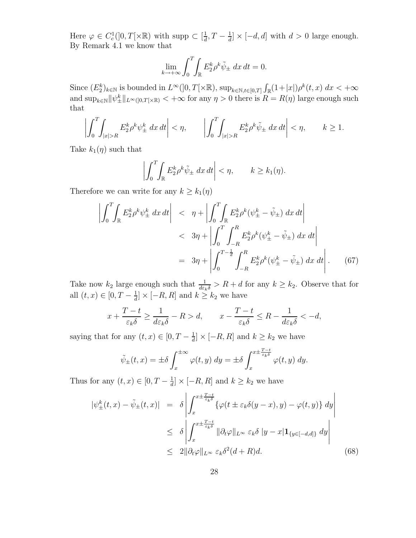Here  $\varphi \in C_c^1(]0,T[ \times \mathbb{R})$  with supp  $\subset \left[\frac{1}{d}\right]$  $\frac{1}{d}$ ,  $T-\frac{1}{d}$  $\frac{1}{d} \times [-d, d]$  with  $d > 0$  large enough. By Remark 4.1 we know that

$$
\lim_{k \to +\infty} \int_0^T \int_{\mathbb{R}} E_2^k \rho^k \tilde{\psi}_{\pm} dx dt = 0.
$$

Since  $(E_2^k)_{k \in \mathbb{N}}$  is bounded in  $L^{\infty}(]0,T[\times \mathbb{R})$ ,  $\sup_{k \in \mathbb{N}, t \in [0,T]} \int_{\mathbb{R}} (1+|x|) \rho^k(t,x) dx < +\infty$ and  $\sup_{k\in\mathbb{N}}\|\psi_{\pm}^k\|_{L^{\infty}(]0,T[\times\mathbb{R})}<+\infty$  for any  $\eta>0$  there is  $R=R(\eta)$  large enough such that

$$
\left| \int_0^T \int_{|x|>R} E_2^k \rho^k \psi_{\pm}^k dx dt \right| < \eta, \qquad \left| \int_0^T \int_{|x|>R} E_2^k \rho^k \tilde{\psi}_{\pm} dx dt \right| < \eta, \qquad k \ge 1.
$$

Take  $k_1(\eta)$  such that

$$
\left| \int_0^T \int_{\mathbb{R}} E_2^k \rho^k \tilde{\psi}_{\pm} \, dx \, dt \right| < \eta, \qquad k \ge k_1(\eta).
$$

Therefore we can write for any  $k \geq k_1(\eta)$ 

$$
\left| \int_{0}^{T} \int_{\mathbb{R}} E_{2}^{k} \rho^{k} \psi_{\pm}^{k} dx dt \right| \leq \eta + \left| \int_{0}^{T} \int_{\mathbb{R}} E_{2}^{k} \rho^{k} (\psi_{\pm}^{k} - \tilde{\psi}_{\pm}) dx dt \right|
$$
  

$$
< 3\eta + \left| \int_{0}^{T} \int_{-R}^{R} E_{2}^{k} \rho^{k} (\psi_{\pm}^{k} - \tilde{\psi}_{\pm}) dx dt \right|
$$
  

$$
= 3\eta + \left| \int_{0}^{T - \frac{1}{d}} \int_{-R}^{R} E_{2}^{k} \rho^{k} (\psi_{\pm}^{k} - \tilde{\psi}_{\pm}) dx dt \right|.
$$
 (67)

Take now  $k_2$  large enough such that  $\frac{1}{d\varepsilon_k\delta} > R + d$  for any  $k \geq k_2$ . Observe that for all  $(t, x) \in [0, T - \frac{1}{d}]$  $\frac{1}{d} \times [-R, R]$  and  $k \ge k_2$  we have

$$
x + \frac{T - t}{\varepsilon_k \delta} \ge \frac{1}{d\varepsilon_k \delta} - R > d, \qquad x - \frac{T - t}{\varepsilon_k \delta} \le R - \frac{1}{d\varepsilon_k \delta} < -d,
$$

saying that for any  $(t, x) \in [0, T - \frac{1}{d}]$  $\frac{1}{d} \times [-R, R]$  and  $k \ge k_2$  we have

$$
\tilde{\psi}_{\pm}(t,x) = \pm \delta \int_{x}^{\pm \infty} \varphi(t,y) \, dy = \pm \delta \int_{x}^{x \pm \frac{T-t}{\varepsilon_k \delta}} \varphi(t,y) \, dy.
$$

Thus for any  $(t, x) \in [0, T - \frac{1}{d}]$  $\frac{1}{d} \times [-R, R]$  and  $k \ge k_2$  we have

$$
\begin{split} |\psi_{\pm}^{k}(t,x)-\tilde{\psi}_{\pm}(t,x)|&= \delta \left| \int_{x}^{x\pm\frac{T-t}{\varepsilon_{k}\delta}} \{\varphi(t\pm\varepsilon_{k}\delta(y-x),y)-\varphi(t,y)\} \, dy \right| \\ &\leq \delta \left| \int_{x}^{x\pm\frac{T-t}{\varepsilon_{k}\delta}} \|\partial_{t}\varphi\|_{L^{\infty}} \, \varepsilon_{k}\delta \, |y-x| \mathbf{1}_{\{y\in[-d,d]\}} \, dy \right| \\ &\leq \ 2\|\partial_{t}\varphi\|_{L^{\infty}} \, \varepsilon_{k}\delta^{2}(d+R)d. \end{split} \tag{68}
$$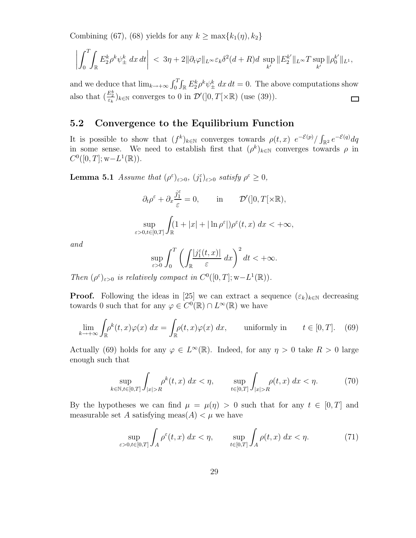Combining (67), (68) yields for any  $k \ge \max\{k_1(\eta), k_2\}$ 

$$
\left| \int_0^T \int_{\mathbb{R}} E_2^k \rho^k \psi_{\pm}^k dx dt \right| < 3\eta + 2 \|\partial_t \varphi\|_{L^{\infty}} \varepsilon_k \delta^2 (d+R) d \sup_{k'} \|E_2^{k'}\|_{L^{\infty}} T \sup_{k'} \|\rho_0^{k'}\|_{L^1},
$$

and we deduce that  $\lim_{k\to+\infty} \int_0^T \int_{\mathbb{R}} E_2^k \rho^k \psi_{\pm}^k dx dt = 0$ . The above computations show also that  $(\frac{E_2^k}{\varepsilon_k})_{k \in \mathbb{N}}$  converges to 0 in  $\mathcal{D}'(]0,T[\times \mathbb{R})$  (use (39)).  $\Box$ 

### 5.2 Convergence to the Equilibrium Function

It is possible to show that  $(f^k)_{k\in\mathbb{N}}$  converges towards  $\rho(t,x) e^{-\mathcal{E}(p)}/\int_{\mathbb{R}^2} e^{-\mathcal{E}(q)}dq$ in some sense. We need to establish first that  $(\rho^k)_{k \in \mathbb{N}}$  converges towards  $\rho$  in  $C^0([0,T]; w - L^1(\mathbb{R})).$ 

**Lemma 5.1** Assume that  $(\rho^{\varepsilon})_{\varepsilon>0}$ ,  $(j_1^{\varepsilon})_{\varepsilon>0}$  satisfy  $\rho^{\varepsilon} \geq 0$ ,

$$
\partial_t \rho^{\varepsilon} + \partial_x \frac{j_1^{\varepsilon}}{\varepsilon} = 0, \quad \text{in} \quad \mathcal{D}'(]0, T[\times \mathbb{R}),
$$
  

$$
\sup_{\varepsilon > 0, t \in [0,T]} \int_{\mathbb{R}} (1 + |x| + |\ln \rho^{\varepsilon}|) \rho^{\varepsilon}(t, x) dx < +\infty,
$$

and

$$
\sup_{\varepsilon>0}\int_0^T\left(\int_{\mathbb{R}}\frac{|j_1^{\varepsilon}(t,x)|}{\varepsilon}\,dx\right)^2dt<+\infty.
$$

Then  $(\rho^{\varepsilon})_{\varepsilon>0}$  is relatively compact in  $C^0([0,T];\mathbf{w}-L^1(\mathbb{R}))$ .

**Proof.** Following the ideas in [25] we can extract a sequence  $(\varepsilon_k)_{k\in\mathbb{N}}$  decreasing towards 0 such that for any  $\varphi \in C^0(\mathbb{R}) \cap L^{\infty}(\mathbb{R})$  we have

$$
\lim_{k \to +\infty} \int_{\mathbb{R}} \rho^k(t, x)\varphi(x) \, dx = \int_{\mathbb{R}} \rho(t, x)\varphi(x) \, dx, \qquad \text{uniformly in} \qquad t \in [0, T]. \tag{69}
$$

Actually (69) holds for any  $\varphi \in L^{\infty}(\mathbb{R})$ . Indeed, for any  $\eta > 0$  take  $R > 0$  large enough such that

$$
\sup_{k \in \mathbb{N}, t \in [0,T]} \int_{|x| > R} \rho^k(t, x) \, dx < \eta, \qquad \sup_{t \in [0,T]} \int_{|x| > R} \rho(t, x) \, dx < \eta. \tag{70}
$$

By the hypotheses we can find  $\mu = \mu(\eta) > 0$  such that for any  $t \in [0, T]$  and measurable set A satisfying meas $(A) < \mu$  we have

$$
\sup_{\varepsilon>0, t\in[0,T]} \int_A \rho^{\varepsilon}(t,x) \, dx < \eta, \qquad \sup_{t\in[0,T]} \int_A \rho(t,x) \, dx < \eta. \tag{71}
$$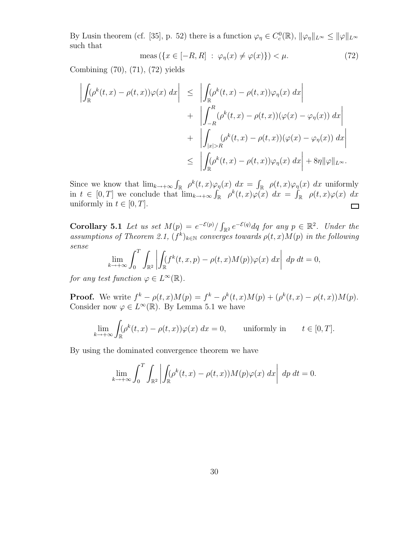By Lusin theorem (cf. [35], p. 52) there is a function  $\varphi_{\eta} \in C_c^0(\mathbb{R})$ ,  $\|\varphi_{\eta}\|_{L^{\infty}} \le \|\varphi\|_{L^{\infty}}$ such that

$$
\text{meas}\left(\{x \in [-R, R] \; : \; \varphi_{\eta}(x) \neq \varphi(x)\}\right) < \mu. \tag{72}
$$

Combining (70), (71), (72) yields

$$
\left| \int_{\mathbb{R}} (\rho^{k}(t,x) - \rho(t,x))\varphi(x) dx \right| \leq \left| \int_{\mathbb{R}} (\rho^{k}(t,x) - \rho(t,x))\varphi_{\eta}(x) dx \right| \n+ \left| \int_{-R}^{R} (\rho^{k}(t,x) - \rho(t,x))(\varphi(x) - \varphi_{\eta}(x)) dx \right| \n+ \left| \int_{|x|>R} (\rho^{k}(t,x) - \rho(t,x))(\varphi(x) - \varphi_{\eta}(x)) dx \right| \n\leq \left| \int_{\mathbb{R}} (\rho^{k}(t,x) - \rho(t,x))\varphi_{\eta}(x) dx \right| + 8\eta \|\varphi\|_{L^{\infty}}.
$$

Since we know that  $\lim_{k\to+\infty} \int_{\mathbb{R}} \rho^k(t,x) \varphi_{\eta}(x) dx = \int_{\mathbb{R}} \rho(t,x) \varphi_{\eta}(x) dx$  uniformly in  $t \in [0, T]$  we conclude that  $\lim_{k \to +\infty} \int_{\mathbb{R}} \rho^k(t, x) \varphi(x) dx = \int_{\mathbb{R}} \rho(t, x) \varphi(x) dx$ uniformly in  $t \in [0, T]$ .  $\Box$ 

Corollary 5.1 Let us set  $M(p) = e^{-\mathcal{E}(p)}/\int_{\mathbb{R}^2} e^{-\mathcal{E}(q)} dq$  for any  $p \in \mathbb{R}^2$ . Under the assumptions of Theorem 2.1,  $(f^k)_{k\in\mathbb{N}}$  converges towards  $\rho(t,x)M(p)$  in the following sense

$$
\lim_{k \to +\infty} \int_0^T \int_{\mathbb{R}^2} \left| \int_{\mathbb{R}} (f^k(t, x, p) - \rho(t, x) M(p)) \varphi(x) \, dx \right| \, dp \, dt = 0,
$$

for any test function  $\varphi \in L^{\infty}(\mathbb{R})$ .

**Proof.** We write  $f^k - \rho(t, x)M(p) = f^k - \rho^k(t, x)M(p) + (\rho^k(t, x) - \rho(t, x))M(p)$ . Consider now  $\varphi \in L^{\infty}(\mathbb{R})$ . By Lemma 5.1 we have

$$
\lim_{k \to +\infty} \int_{\mathbb{R}} (\rho^k(t, x) - \rho(t, x)) \varphi(x) \, dx = 0, \quad \text{uniformly in} \quad t \in [0, T].
$$

By using the dominated convergence theorem we have

$$
\lim_{k \to +\infty} \int_0^T \int_{\mathbb{R}^2} \left| \int_{\mathbb{R}} (\rho^k(t,x) - \rho(t,x)) M(p) \varphi(x) \, dx \right| \, dp \, dt = 0.
$$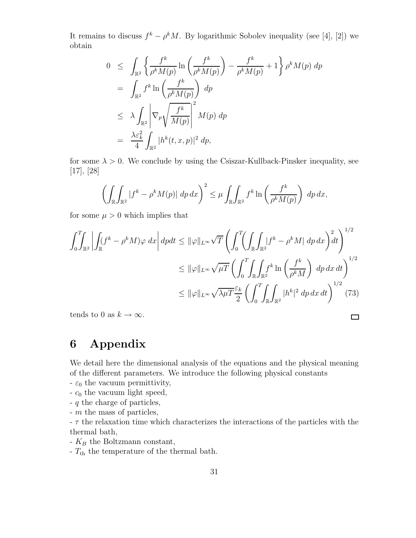It remains to discuss  $f^k - \rho^k M$ . By logarithmic Sobolev inequality (see [4], [2]) we obtain

$$
0 \leq \int_{\mathbb{R}^2} \left\{ \frac{f^k}{\rho^k M(p)} \ln \left( \frac{f^k}{\rho^k M(p)} \right) - \frac{f^k}{\rho^k M(p)} + 1 \right\} \rho^k M(p) dp
$$
  
\n
$$
= \int_{\mathbb{R}^2} f^k \ln \left( \frac{f^k}{\rho^k M(p)} \right) dp
$$
  
\n
$$
\leq \lambda \int_{\mathbb{R}^2} \left| \nabla_p \sqrt{\frac{f^k}{M(p)}} \right|^2 M(p) dp
$$
  
\n
$$
= \frac{\lambda \varepsilon_k^2}{4} \int_{\mathbb{R}^2} |h^k(t, x, p)|^2 dp,
$$

for some  $\lambda > 0$ . We conclude by using the Csiszar-Kullback-Pinsker inequality, see [17], [28]

$$
\left(\int_{\mathbb{R}}\int_{\mathbb{R}^2} |f^k - \rho^k M(p)| \, dp \, dx\right)^2 \le \mu \int_{\mathbb{R}}\int_{\mathbb{R}^2} f^k \ln\left(\frac{f^k}{\rho^k M(p)}\right) \, dp \, dx,
$$

for some  $\mu > 0$  which implies that

$$
\int_0^T \int_{\mathbb{R}^2} \left| \int_{\mathbb{R}} (f^k - \rho^k M) \varphi \, dx \right| dp dt \leq \|\varphi\|_{L^\infty} \sqrt{T} \left( \int_0^T \left( \int_{\mathbb{R}} \int_{\mathbb{R}^2} |f^k - \rho^k M| \, dp \, dx \right)^2 dt \right)^{1/2}
$$
  

$$
\leq \|\varphi\|_{L^\infty} \sqrt{\mu} T \left( \int_0^T \int_{\mathbb{R}} \int_{\mathbb{R}^2} f^k \ln \left( \frac{f^k}{\rho^k M} \right) \, dp \, dx \, dt \right)^{1/2}
$$
  

$$
\leq \|\varphi\|_{L^\infty} \sqrt{\lambda \mu} T \frac{\varepsilon_k}{2} \left( \int_0^T \int_{\mathbb{R}} \int_{\mathbb{R}^2} |h^k|^2 \, dp \, dx \, dt \right)^{1/2} (73)
$$

 $\Box$ 

tends to 0 as  $k \to \infty$ .

# 6 Appendix

We detail here the dimensional analysis of the equations and the physical meaning of the different parameters. We introduce the following physical constants

- $-\varepsilon_0$  the vacuum permittivity,
- $-c_0$  the vacuum light speed,
- q the charge of particles,
- m the mass of particles,

 $- \tau$  the relaxation time which characterizes the interactions of the particles with the thermal bath,

- $K_B$  the Boltzmann constant,
- $T_{\rm th}$  the temperature of the thermal bath.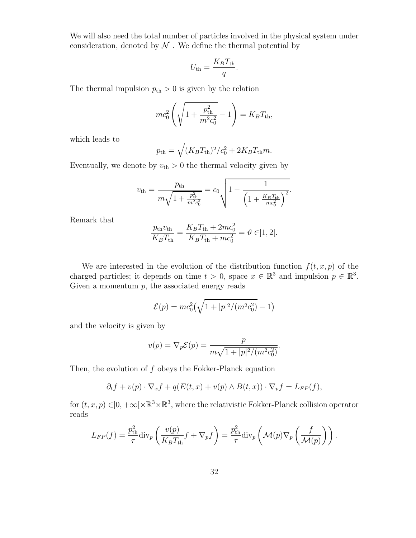We will also need the total number of particles involved in the physical system under consideration, denoted by  $\mathcal N$ . We define the thermal potential by

$$
U_{\rm th} = \frac{K_B T_{\rm th}}{q}.
$$

The thermal impulsion  $p_{\text{th}} > 0$  is given by the relation

$$
mc_0^2 \left( \sqrt{1 + \frac{p_{\text{th}}^2}{m^2 c_0^2}} - 1 \right) = K_B T_{\text{th}},
$$

which leads to

$$
p_{\rm th} = \sqrt{(K_B T_{\rm th})^2/c_0^2 + 2K_B T_{\rm th} m}.
$$

Eventually, we denote by  $v_{\text{th}} > 0$  the thermal velocity given by

$$
v_{\rm th} = \frac{p_{\rm th}}{m\sqrt{1 + \frac{p_{\rm th}^2}{m^2 c_0^2}}} = c_0 \sqrt{1 - \frac{1}{\left(1 + \frac{K_B T_{\rm th}}{mc_0^2}\right)^2}}.
$$

Remark that

$$
\frac{p_{\text{th}}v_{\text{th}}}{K_BT_{\text{th}}} = \frac{K_BT_{\text{th}} + 2mc_0^2}{K_BT_{\text{th}} + mc_0^2} = \vartheta \in ]1,2[.
$$

We are interested in the evolution of the distribution function  $f(t, x, p)$  of the charged particles; it depends on time  $t > 0$ , space  $x \in \mathbb{R}^3$  and impulsion  $p \in \mathbb{R}^3$ . Given a momentum  $p$ , the associated energy reads

$$
\mathcal{E}(p) = mc_0^2 \left( \sqrt{1 + |p|^2 / (m^2 c_0^2)} - 1 \right)
$$

and the velocity is given by

$$
v(p) = \nabla_p \mathcal{E}(p) = \frac{p}{m\sqrt{1+|p|^2/(m^2c_0^2)}}.
$$

Then, the evolution of  $f$  obeys the Fokker-Planck equation

$$
\partial_t f + v(p) \cdot \nabla_x f + q(E(t, x) + v(p) \wedge B(t, x)) \cdot \nabla_p f = L_{FP}(f),
$$

for  $(t, x, p) \in ]0, +\infty[\times \mathbb{R}^3 \times \mathbb{R}^3$ , where the relativistic Fokker-Planck collision operator reads

$$
L_{FP}(f) = \frac{p_{\text{th}}^2}{\tau} \text{div}_p \left( \frac{v(p)}{K_B T_{\text{th}}} f + \nabla_p f \right) = \frac{p_{\text{th}}^2}{\tau} \text{div}_p \left( \mathcal{M}(p) \nabla_p \left( \frac{f}{\mathcal{M}(p)} \right) \right).
$$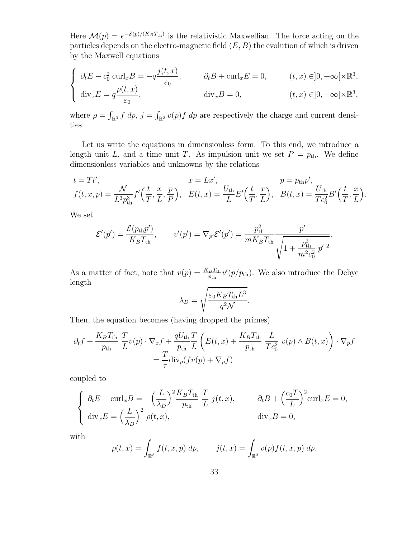Here  $\mathcal{M}(p) = e^{-\mathcal{E}(p)/(K_B T_{th})}$  is the relativistic Maxwellian. The force acting on the particles depends on the electro-magnetic field  $(E, B)$  the evolution of which is driven by the Maxwell equations

$$
\begin{cases}\n\partial_t E - c_0^2 \operatorname{curl}_x B = -q \frac{j(t, x)}{\varepsilon_0}, & \partial_t B + \operatorname{curl}_x E = 0, \quad (t, x) \in ]0, +\infty[\times \mathbb{R}^3, \\
\operatorname{div}_x E = q \frac{\rho(t, x)}{\varepsilon_0}, & \operatorname{div}_x B = 0, \quad (t, x) \in ]0, +\infty[\times \mathbb{R}^3,\n\end{cases}
$$

where  $\rho = \int_{\mathbb{R}^3} f \, dp$ ,  $j = \int_{\mathbb{R}^3} v(p) f \, dp$  are respectively the charge and current densities.

Let us write the equations in dimensionless form. To this end, we introduce a length unit L, and a time unit T. As impulsion unit we set  $P = p_{th}$ . We define dimensionless variables and unknowns by the relations

$$
t = Tt',
$$
  
\n
$$
f(t, x, p) = \frac{\mathcal{N}}{L^3 p_{\text{th}}^3} f'(\frac{t}{T}, \frac{x}{L}, \frac{p}{P}),
$$
  
\n
$$
E(t, x) = \frac{U_{\text{th}}}{L} E'(\frac{t}{T}, \frac{x}{L}),
$$
  
\n
$$
p = p_{\text{th}} p',
$$
  
\n
$$
B(t, x) = \frac{U_{\text{th}}}{T c_0^2} B'(\frac{t}{T}, \frac{x}{L}).
$$

We set

$$
\mathcal{E}'(p') = \frac{\mathcal{E}(p_{\rm th}p')}{K_B T_{\rm th}}, \qquad v'(p') = \nabla_{p'} \mathcal{E}'(p') = \frac{p_{\rm th}^2}{m K_B T_{\rm th}} \frac{p'}{\sqrt{1 + \frac{p_{\rm th}^2}{m^2 c_0^2} |p'|^2}}.
$$

As a matter of fact, note that  $v(p) = \frac{K_B T_{\text{th}}}{p_{\text{th}}} v'(p/p_{\text{th}})$ . We also introduce the Debye length

$$
\lambda_D = \sqrt{\frac{\varepsilon_0 K_B T_{\text{th}} L^3}{q^2 \mathcal{N}}}.
$$

Then, the equation becomes (having dropped the primes)

$$
\partial_t f + \frac{K_B T_{\text{th}}}{p_{\text{th}}} \frac{T}{L} v(p) \cdot \nabla_x f + \frac{qU_{\text{th}}}{p_{\text{th}}} \frac{T}{L} \left( E(t, x) + \frac{K_B T_{\text{th}}}{p_{\text{th}}} \frac{L}{T c_0^2} v(p) \wedge B(t, x) \right) \cdot \nabla_p f
$$

$$
= \frac{T}{\tau} \text{div}_p(f v(p) + \nabla_p f)
$$

coupled to

$$
\begin{cases}\n\partial_t E - \text{curl}_x B = -\left(\frac{L}{\lambda_D}\right)^2 \frac{K_B T_{\text{th}}}{p_{\text{th}}} \frac{T}{L} j(t, x), & \partial_t B + \left(\frac{c_0 T}{L}\right)^2 \text{curl}_x E = 0, \\
\text{div}_x E = \left(\frac{L}{\lambda_D}\right)^2 \rho(t, x), & \text{div}_x B = 0,\n\end{cases}
$$

with

$$
\rho(t,x) = \int_{\mathbb{R}^3} f(t,x,p) \, dp, \qquad j(t,x) = \int_{\mathbb{R}^3} v(p) f(t,x,p) \, dp.
$$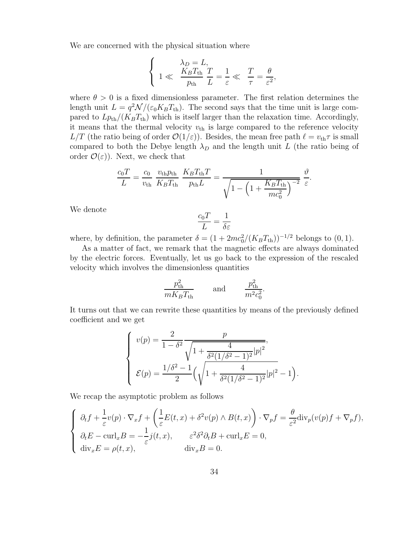We are concerned with the physical situation where

$$
\begin{cases}\n\lambda_D = L, \\
1 \ll \frac{K_B T_{\text{th}}}{p_{\text{th}}} \frac{T}{L} = \frac{1}{\varepsilon} \ll \frac{T}{\tau} = \frac{\theta}{\varepsilon^2},\n\end{cases}
$$

where  $\theta > 0$  is a fixed dimensionless parameter. The first relation determines the length unit  $L = q^2 \mathcal{N}/(\varepsilon_0 K_B T_{\text{th}})$ . The second says that the time unit is large compared to  $L_{\text{Pth}}/(K_B T_{\text{th}})$  which is itself larger than the relaxation time. Accordingly, it means that the thermal velocity  $v_{\text{th}}$  is large compared to the reference velocity  $L/T$  (the ratio being of order  $\mathcal{O}(1/\varepsilon)$ ). Besides, the mean free path  $\ell = v_{\text{th}}\tau$  is small compared to both the Debye length  $\lambda_D$  and the length unit L (the ratio being of order  $\mathcal{O}(\varepsilon)$ . Next, we check that

$$
\frac{c_0 T}{L} = \frac{c_0}{v_{\text{th}}} \frac{v_{\text{th}} p_{\text{th}}}{K_B T_{\text{th}}} \frac{K_B T_{\text{th}} T}{p_{\text{th}} L} = \frac{1}{\sqrt{1 - \left(1 + \frac{K_B T_{\text{th}}}{m c_0^2}\right)^{-2}}} \frac{\vartheta}{\varepsilon}.
$$

We denote

$$
\frac{c_0 T}{L} = \frac{1}{\delta \varepsilon}
$$

where, by definition, the parameter  $\delta = (1 + 2mc_0^2/(K_B T_{\text{th}}))^{-1/2}$  belongs to  $(0, 1)$ .

As a matter of fact, we remark that the magnetic effects are always dominated by the electric forces. Eventually, let us go back to the expression of the rescaled velocity which involves the dimensionless quantities

$$
\frac{p_{\text{th}}^2}{mK_B T_{\text{th}}} \qquad \text{and} \qquad \frac{p_{\text{th}}^2}{m^2 c_0^2}.
$$

It turns out that we can rewrite these quantities by means of the previously defined coefficient and we get

$$
\begin{cases}\nv(p) = \frac{2}{1 - \delta^2} \frac{p}{\sqrt{1 + \frac{4}{\delta^2 (1/\delta^2 - 1)^2} |p|^2}},\\ \n\mathcal{E}(p) = \frac{1/\delta^2 - 1}{2} \left( \sqrt{1 + \frac{4}{\delta^2 (1/\delta^2 - 1)^2} |p|^2} - 1 \right)\n\end{cases}
$$

.

We recap the asymptotic problem as follows

$$
\begin{cases}\n\partial_t f + \frac{1}{\varepsilon} v(p) \cdot \nabla_x f + \left( \frac{1}{\varepsilon} E(t, x) + \delta^2 v(p) \wedge B(t, x) \right) \cdot \nabla_p f = \frac{\theta}{\varepsilon^2} \text{div}_p(v(p) f + \nabla_p f), \\
\partial_t E - \text{curl}_x B = -\frac{1}{\varepsilon} j(t, x), \qquad \varepsilon^2 \delta^2 \partial_t B + \text{curl}_x E = 0, \\
\text{div}_x E = \rho(t, x), \qquad \text{div}_x B = 0.\n\end{cases}
$$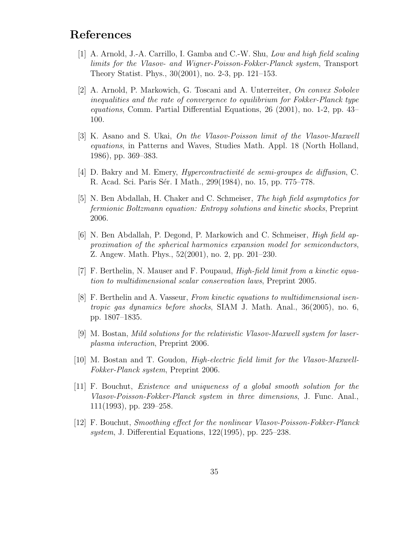# References

- [1] A. Arnold, J.-A. Carrillo, I. Gamba and C.-W. Shu, Low and high field scaling limits for the Vlasov- and Wigner-Poisson-Fokker-Planck system, Transport Theory Statist. Phys., 30(2001), no. 2-3, pp. 121–153.
- [2] A. Arnold, P. Markowich, G. Toscani and A. Unterreiter, On convex Sobolev inequalities and the rate of convergence to equilibrium for Fokker-Planck type equations, Comm. Partial Differential Equations, 26 (2001), no. 1-2, pp. 43– 100.
- [3] K. Asano and S. Ukai, On the Vlasov-Poisson limit of the Vlasov-Maxwell equations, in Patterns and Waves, Studies Math. Appl. 18 (North Holland, 1986), pp. 369–383.
- [4] D. Bakry and M. Emery, *Hypercontractivité de semi-groupes de diffusion*, C. R. Acad. Sci. Paris Sér. I Math., 299(1984), no. 15, pp. 775–778.
- [5] N. Ben Abdallah, H. Chaker and C. Schmeiser, The high field asymptotics for fermionic Boltzmann equation: Entropy solutions and kinetic shocks, Preprint 2006.
- [6] N. Ben Abdallah, P. Degond, P. Markowich and C. Schmeiser, High field approximation of the spherical harmonics expansion model for semiconductors, Z. Angew. Math. Phys., 52(2001), no. 2, pp. 201–230.
- [7] F. Berthelin, N. Mauser and F. Poupaud, High-field limit from a kinetic equation to multidimensional scalar conservation laws, Preprint 2005.
- [8] F. Berthelin and A. Vasseur, From kinetic equations to multidimensional isentropic gas dynamics before shocks, SIAM J. Math. Anal., 36(2005), no. 6, pp. 1807–1835.
- [9] M. Bostan, Mild solutions for the relativistic Vlasov-Maxwell system for laserplasma interaction, Preprint 2006.
- [10] M. Bostan and T. Goudon, High-electric field limit for the Vlasov-Maxwell-Fokker-Planck system, Preprint 2006.
- [11] F. Bouchut, Existence and uniqueness of a global smooth solution for the Vlasov-Poisson-Fokker-Planck system in three dimensions, J. Func. Anal., 111(1993), pp. 239–258.
- [12] F. Bouchut, Smoothing effect for the nonlinear Vlasov-Poisson-Fokker-Planck system, J. Differential Equations, 122(1995), pp. 225–238.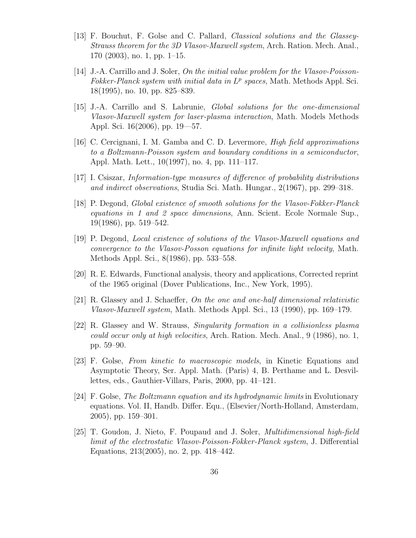- [13] F. Bouchut, F. Golse and C. Pallard, Classical solutions and the Glassey-Strauss theorem for the 3D Vlasov-Maxwell system, Arch. Ration. Mech. Anal., 170 (2003), no. 1, pp. 1–15.
- [14] J.-A. Carrillo and J. Soler, On the initial value problem for the Vlasov-Poisson-Fokker-Planck system with initial data in  $L^p$  spaces, Math. Methods Appl. Sci. 18(1995), no. 10, pp. 825–839.
- [15] J.-A. Carrillo and S. Labrunie, Global solutions for the one-dimensional Vlasov-Maxwell system for laser-plasma interaction, Math. Models Methods Appl. Sci. 16(2006), pp. 19—57.
- [16] C. Cercignani, I. M. Gamba and C. D. Levermore, High field approximations to a Boltzmann-Poisson system and boundary conditions in a semiconductor, Appl. Math. Lett., 10(1997), no. 4, pp. 111–117.
- [17] I. Csiszar, Information-type measures of difference of probability distributions and indirect observations, Studia Sci. Math. Hungar., 2(1967), pp. 299–318.
- [18] P. Degond, Global existence of smooth solutions for the Vlasov-Fokker-Planck equations in 1 and 2 space dimensions, Ann. Scient. Ecole Normale Sup., 19(1986), pp. 519–542.
- [19] P. Degond, Local existence of solutions of the Vlasov-Maxwell equations and convergence to the Vlasov-Posson equations for infinite light velocity, Math. Methods Appl. Sci., 8(1986), pp. 533–558.
- [20] R. E. Edwards, Functional analysis, theory and applications, Corrected reprint of the 1965 original (Dover Publications, Inc., New York, 1995).
- [21] R. Glassey and J. Schaeffer, On the one and one-half dimensional relativistic Vlasov-Maxwell system, Math. Methods Appl. Sci., 13 (1990), pp. 169–179.
- [22] R. Glassey and W. Strauss, Singularity formation in a collisionless plasma could occur only at high velocities, Arch. Ration. Mech. Anal., 9 (1986), no. 1, pp. 59–90.
- [23] F. Golse, From kinetic to macroscopic models, in Kinetic Equations and Asymptotic Theory, Ser. Appl. Math. (Paris) 4, B. Perthame and L. Desvillettes, eds., Gauthier-Villars, Paris, 2000, pp. 41–121.
- [24] F. Golse, The Boltzmann equation and its hydrodynamic limits in Evolutionary equations. Vol. II, Handb. Differ. Equ., (Elsevier/North-Holland, Amsterdam, 2005), pp. 159–301.
- [25] T. Goudon, J. Nieto, F. Poupaud and J. Soler, Multidimensional high-field limit of the electrostatic Vlasov-Poisson-Fokker-Planck system, J. Differential Equations, 213(2005), no. 2, pp. 418–442.